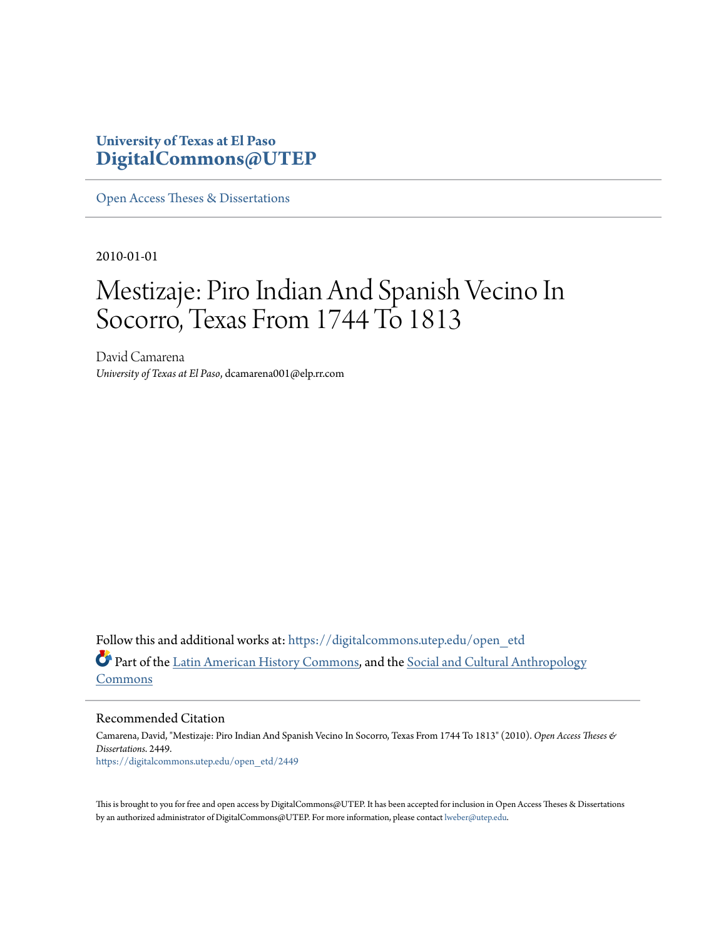### **University of Texas at El Paso [DigitalCommons@UTEP](https://digitalcommons.utep.edu/?utm_source=digitalcommons.utep.edu%2Fopen_etd%2F2449&utm_medium=PDF&utm_campaign=PDFCoverPages)**

[Open Access Theses & Dissertations](https://digitalcommons.utep.edu/open_etd?utm_source=digitalcommons.utep.edu%2Fopen_etd%2F2449&utm_medium=PDF&utm_campaign=PDFCoverPages)

2010-01-01

# Mestizaje: Piro Indian And Spanish Vecino In Socorro, Texas From 1744 To 1813

David Camarena *University of Texas at El Paso*, dcamarena001@elp.rr.com

Follow this and additional works at: [https://digitalcommons.utep.edu/open\\_etd](https://digitalcommons.utep.edu/open_etd?utm_source=digitalcommons.utep.edu%2Fopen_etd%2F2449&utm_medium=PDF&utm_campaign=PDFCoverPages) Part of the [Latin American History Commons,](http://network.bepress.com/hgg/discipline/494?utm_source=digitalcommons.utep.edu%2Fopen_etd%2F2449&utm_medium=PDF&utm_campaign=PDFCoverPages) and the [Social and Cultural Anthropology](http://network.bepress.com/hgg/discipline/323?utm_source=digitalcommons.utep.edu%2Fopen_etd%2F2449&utm_medium=PDF&utm_campaign=PDFCoverPages) [Commons](http://network.bepress.com/hgg/discipline/323?utm_source=digitalcommons.utep.edu%2Fopen_etd%2F2449&utm_medium=PDF&utm_campaign=PDFCoverPages)

Recommended Citation

Camarena, David, "Mestizaje: Piro Indian And Spanish Vecino In Socorro, Texas From 1744 To 1813" (2010). *Open Access Theses & Dissertations*. 2449. [https://digitalcommons.utep.edu/open\\_etd/2449](https://digitalcommons.utep.edu/open_etd/2449?utm_source=digitalcommons.utep.edu%2Fopen_etd%2F2449&utm_medium=PDF&utm_campaign=PDFCoverPages)

This is brought to you for free and open access by DigitalCommons@UTEP. It has been accepted for inclusion in Open Access Theses & Dissertations by an authorized administrator of DigitalCommons@UTEP. For more information, please contact [lweber@utep.edu.](mailto:lweber@utep.edu)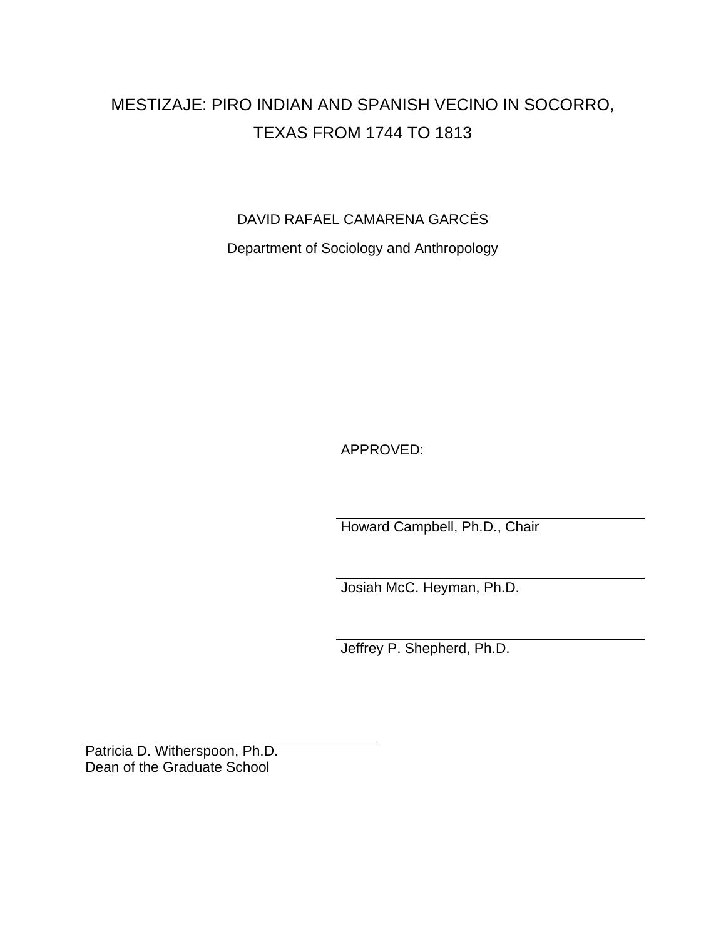## MESTIZAJE: PIRO INDIAN AND SPANISH VECINO IN SOCORRO, TEXAS FROM 1744 TO 1813

DAVID RAFAEL CAMARENA GARCÉS

Department of Sociology and Anthropology

APPROVED:

Howard Campbell, Ph.D., Chair

Josiah McC. Heyman, Ph.D.

Jeffrey P. Shepherd, Ph.D.

Patricia D. Witherspoon, Ph.D. Dean of the Graduate School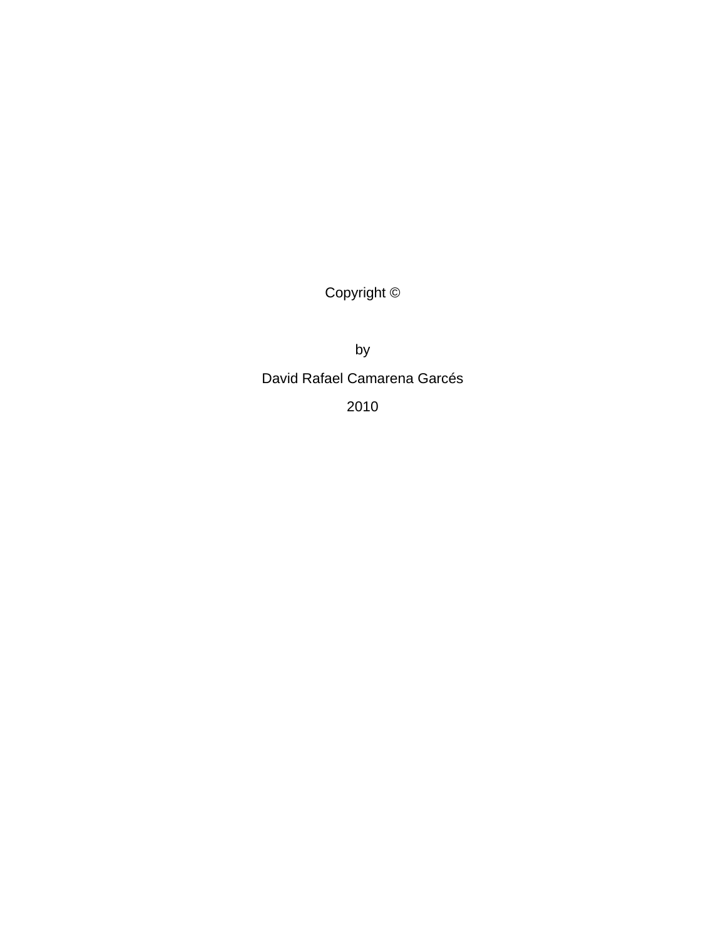Copyright ©

by

David Rafael Camarena Garcés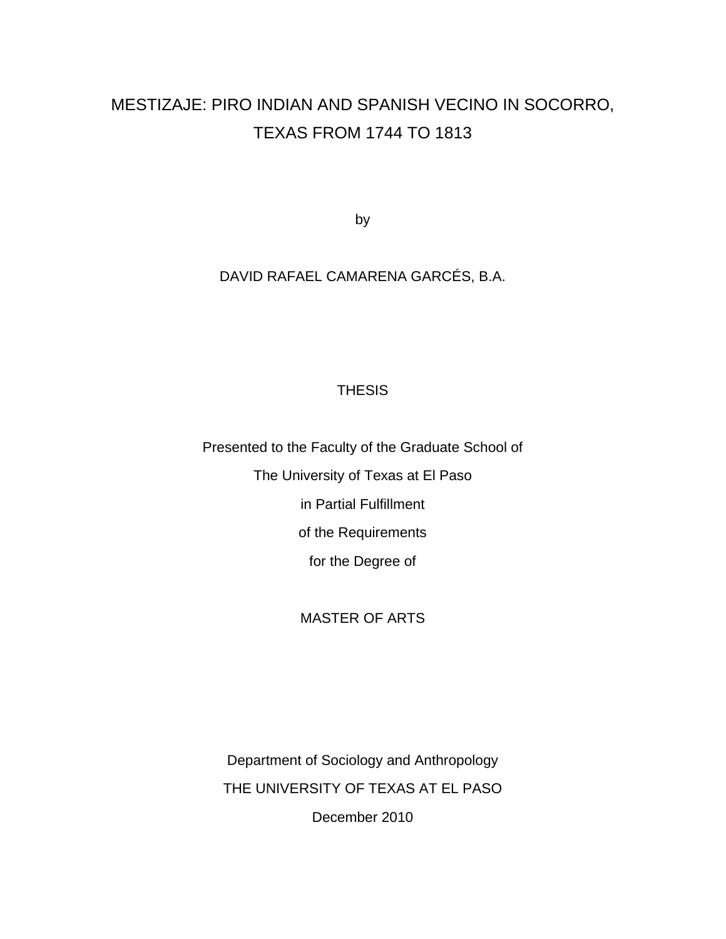## MESTIZAJE: PIRO INDIAN AND SPANISH VECINO IN SOCORRO, TEXAS FROM 1744 TO 1813

by

### DAVID RAFAEL CAMARENA GARCÉS, B.A.

#### THESIS

Presented to the Faculty of the Graduate School of The University of Texas at El Paso in Partial Fulfillment of the Requirements for the Degree of

#### MASTER OF ARTS

Department of Sociology and Anthropology THE UNIVERSITY OF TEXAS AT EL PASO December 2010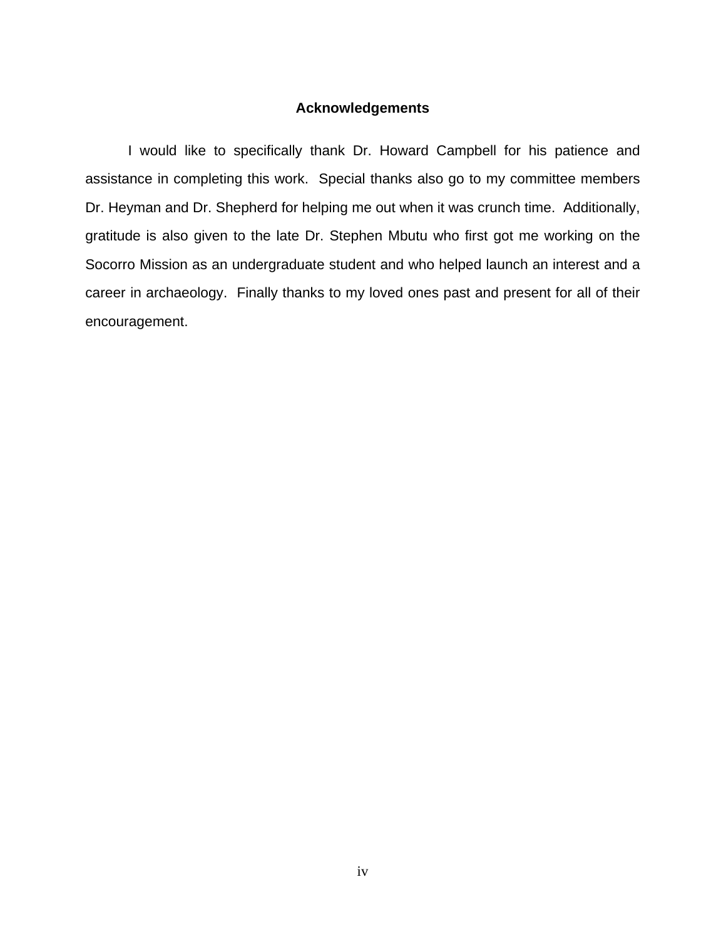#### **Acknowledgements**

<span id="page-4-0"></span>I would like to specifically thank Dr. Howard Campbell for his patience and assistance in completing this work. Special thanks also go to my committee members Dr. Heyman and Dr. Shepherd for helping me out when it was crunch time. Additionally, gratitude is also given to the late Dr. Stephen Mbutu who first got me working on the Socorro Mission as an undergraduate student and who helped launch an interest and a career in archaeology. Finally thanks to my loved ones past and present for all of their encouragement.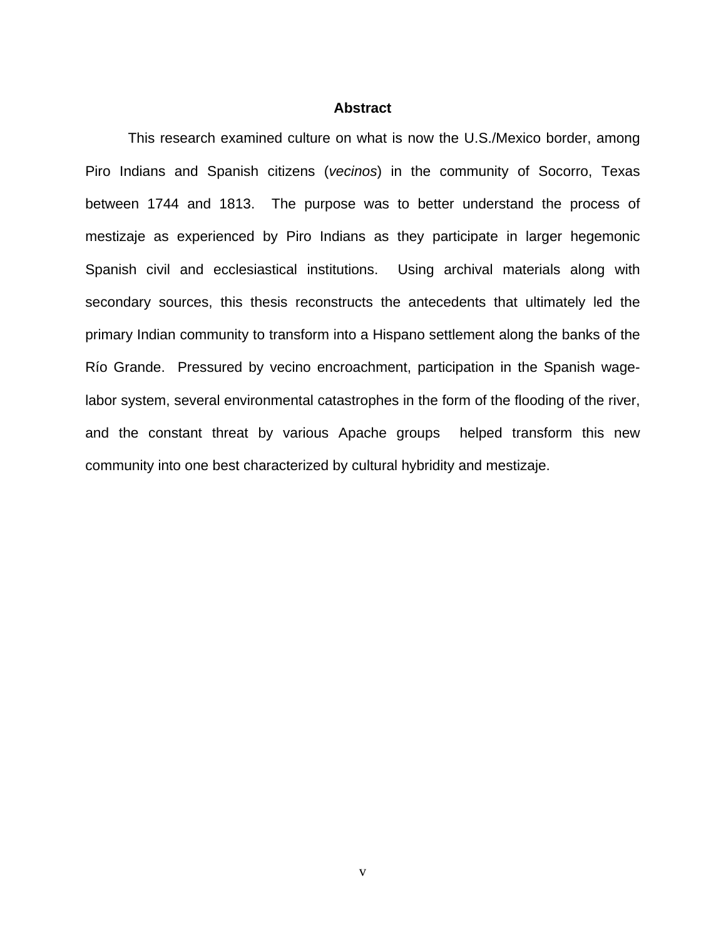#### **Abstract**

<span id="page-5-0"></span>This research examined culture on what is now the U.S./Mexico border, among Piro Indians and Spanish citizens (*vecinos*) in the community of Socorro, Texas between 1744 and 1813. The purpose was to better understand the process of mestizaje as experienced by Piro Indians as they participate in larger hegemonic Spanish civil and ecclesiastical institutions. Using archival materials along with secondary sources, this thesis reconstructs the antecedents that ultimately led the primary Indian community to transform into a Hispano settlement along the banks of the Río Grande. Pressured by vecino encroachment, participation in the Spanish wagelabor system, several environmental catastrophes in the form of the flooding of the river, and the constant threat by various Apache groups helped transform this new community into one best characterized by cultural hybridity and mestizaje.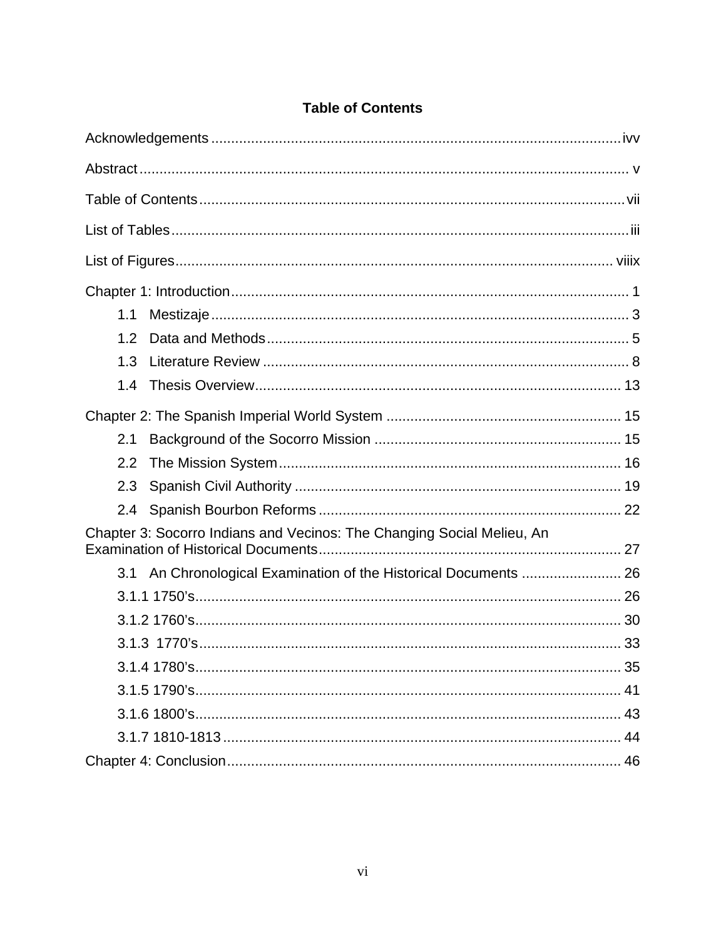<span id="page-6-0"></span>

| 1.1                                                                    |  |
|------------------------------------------------------------------------|--|
| 1.2                                                                    |  |
| 1.3                                                                    |  |
| 1.4                                                                    |  |
|                                                                        |  |
| 2.1                                                                    |  |
| 2.2                                                                    |  |
| 2.3                                                                    |  |
| 2.4                                                                    |  |
| Chapter 3: Socorro Indians and Vecinos: The Changing Social Melieu, An |  |
| An Chronological Examination of the Historical Documents  26<br>3.1    |  |
|                                                                        |  |
|                                                                        |  |
|                                                                        |  |
|                                                                        |  |
|                                                                        |  |
|                                                                        |  |
|                                                                        |  |
|                                                                        |  |

### **Table of Contents**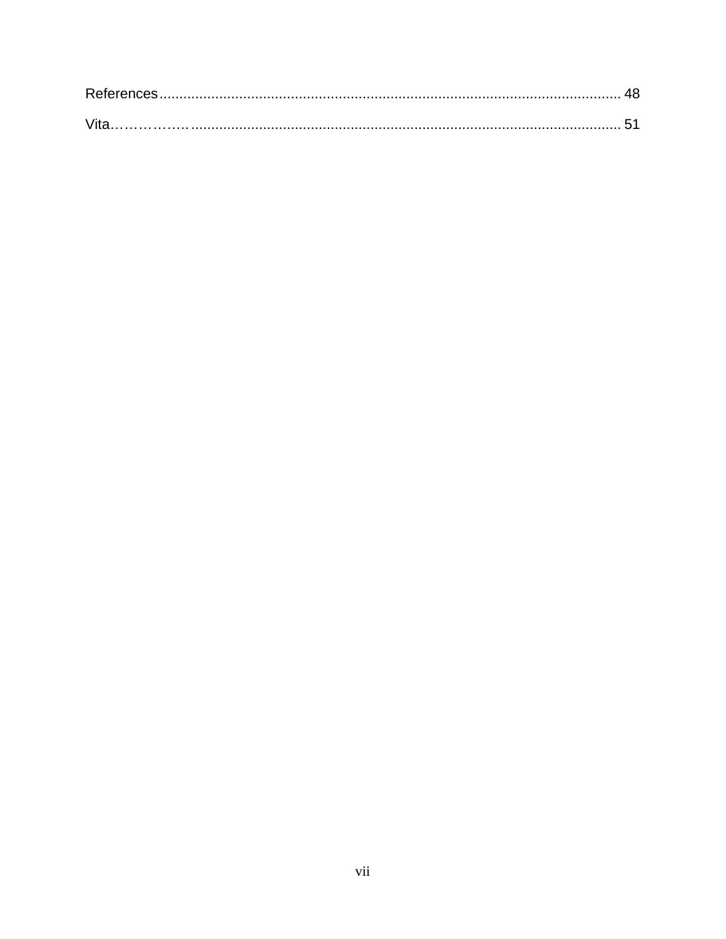| Vita |  |
|------|--|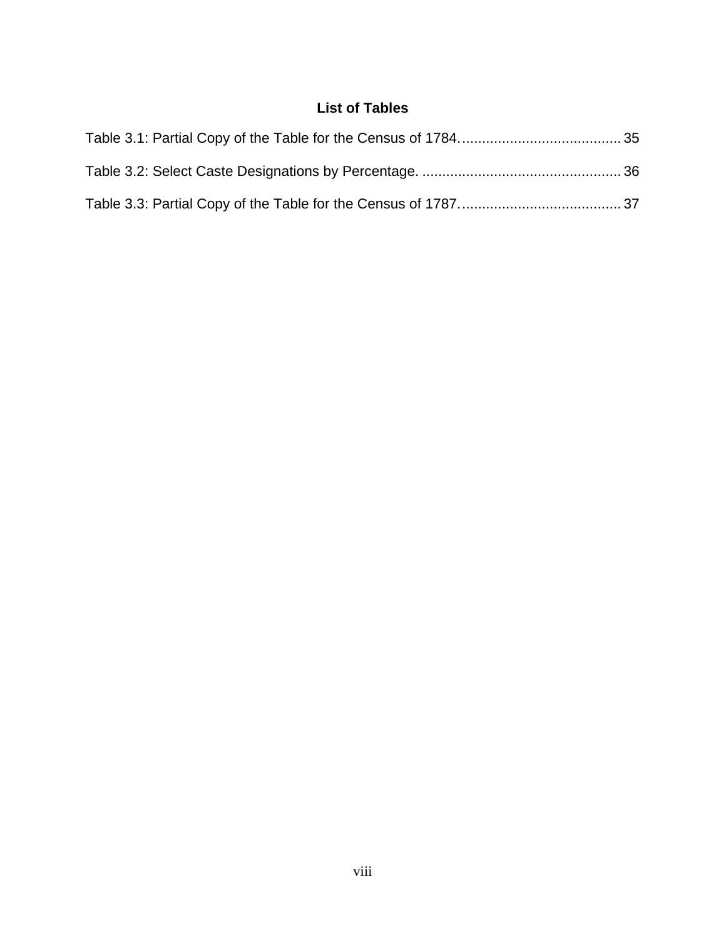### **List of Tables**

<span id="page-8-0"></span>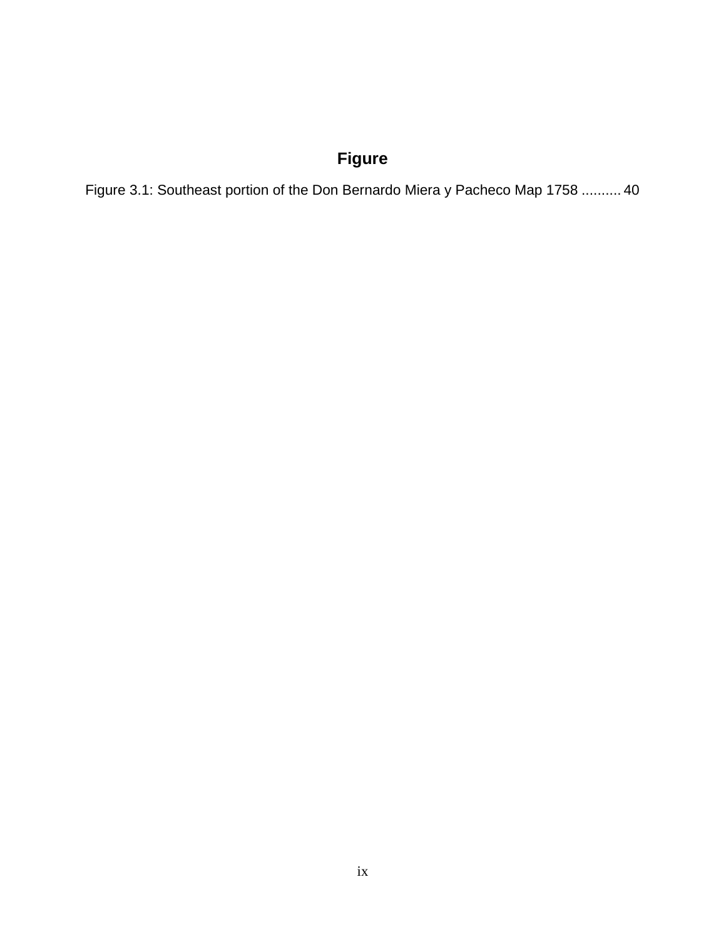## **Figure**

Figure 3.1: Southeast portion of the Don Bernardo Miera y Pacheco Map 1758 .......... 40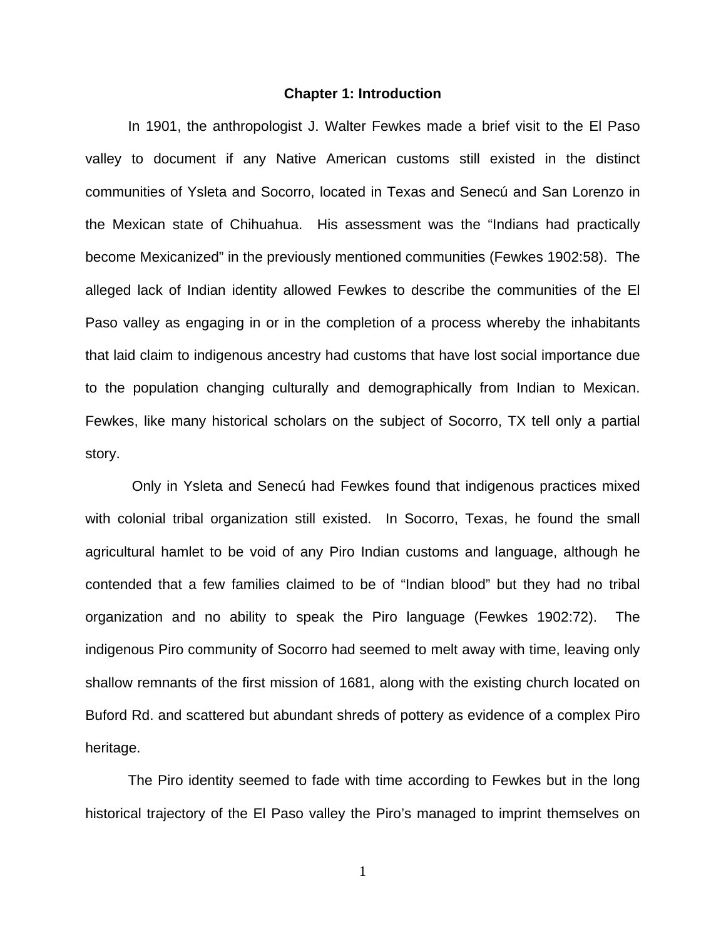#### **Chapter 1: Introduction**

<span id="page-10-0"></span>In 1901, the anthropologist J. Walter Fewkes made a brief visit to the El Paso valley to document if any Native American customs still existed in the distinct communities of Ysleta and Socorro, located in Texas and Senecú and San Lorenzo in the Mexican state of Chihuahua. His assessment was the "Indians had practically become Mexicanized" in the previously mentioned communities (Fewkes 1902:58). The alleged lack of Indian identity allowed Fewkes to describe the communities of the El Paso valley as engaging in or in the completion of a process whereby the inhabitants that laid claim to indigenous ancestry had customs that have lost social importance due to the population changing culturally and demographically from Indian to Mexican. Fewkes, like many historical scholars on the subject of Socorro, TX tell only a partial story.

Only in Ysleta and Senecú had Fewkes found that indigenous practices mixed with colonial tribal organization still existed. In Socorro, Texas, he found the small agricultural hamlet to be void of any Piro Indian customs and language, although he contended that a few families claimed to be of "Indian blood" but they had no tribal organization and no ability to speak the Piro language (Fewkes 1902:72). The indigenous Piro community of Socorro had seemed to melt away with time, leaving only shallow remnants of the first mission of 1681, along with the existing church located on Buford Rd. and scattered but abundant shreds of pottery as evidence of a complex Piro heritage.

The Piro identity seemed to fade with time according to Fewkes but in the long historical trajectory of the El Paso valley the Piro's managed to imprint themselves on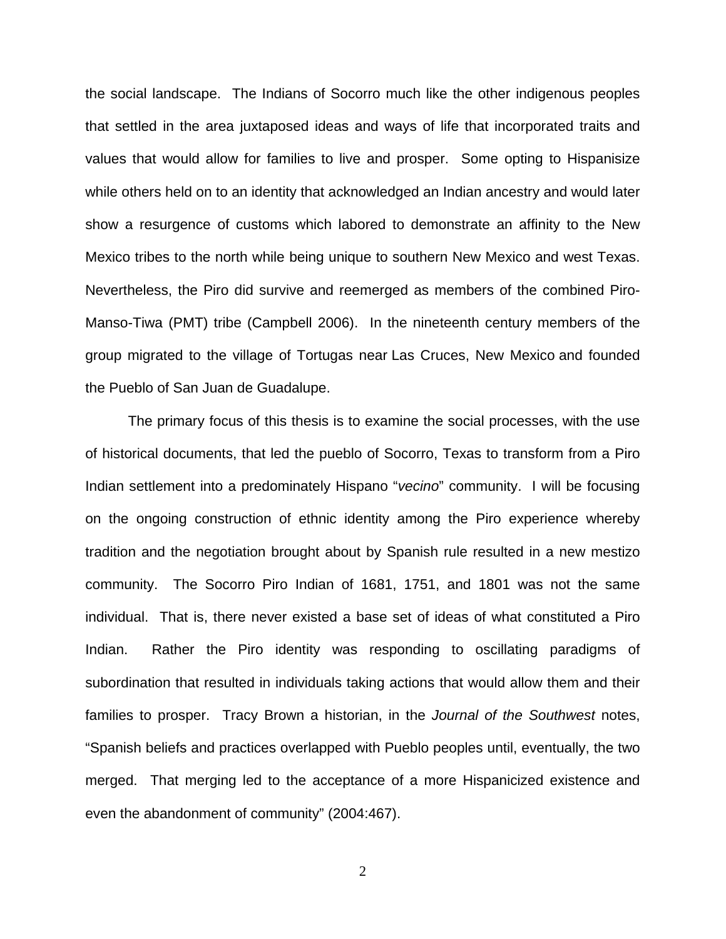the social landscape. The Indians of Socorro much like the other indigenous peoples that settled in the area juxtaposed ideas and ways of life that incorporated traits and values that would allow for families to live and prosper. Some opting to Hispanisize while others held on to an identity that acknowledged an Indian ancestry and would later show a resurgence of customs which labored to demonstrate an affinity to the New Mexico tribes to the north while being unique to southern New Mexico and west Texas. Nevertheless, the Piro did survive and reemerged as members of the combined Piro-Manso-Tiwa (PMT) tribe (Campbell 2006). In the nineteenth century members of the group migrated to the village of Tortugas near [Las Cruces, New Mexico](http://en.wikipedia.org/wiki/Las_Cruces,_New_Mexico) and founded the Pueblo of San Juan de Guadalupe.

The primary focus of this thesis is to examine the social processes, with the use of historical documents, that led the pueblo of Socorro, Texas to transform from a Piro Indian settlement into a predominately Hispano "*vecino*" community. I will be focusing on the ongoing construction of ethnic identity among the Piro experience whereby tradition and the negotiation brought about by Spanish rule resulted in a new mestizo community. The Socorro Piro Indian of 1681, 1751, and 1801 was not the same individual. That is, there never existed a base set of ideas of what constituted a Piro Indian. Rather the Piro identity was responding to oscillating paradigms of subordination that resulted in individuals taking actions that would allow them and their families to prosper. Tracy Brown a historian, in the *Journal of the Southwest* notes, "Spanish beliefs and practices overlapped with Pueblo peoples until, eventually, the two merged. That merging led to the acceptance of a more Hispanicized existence and even the abandonment of community" (2004:467).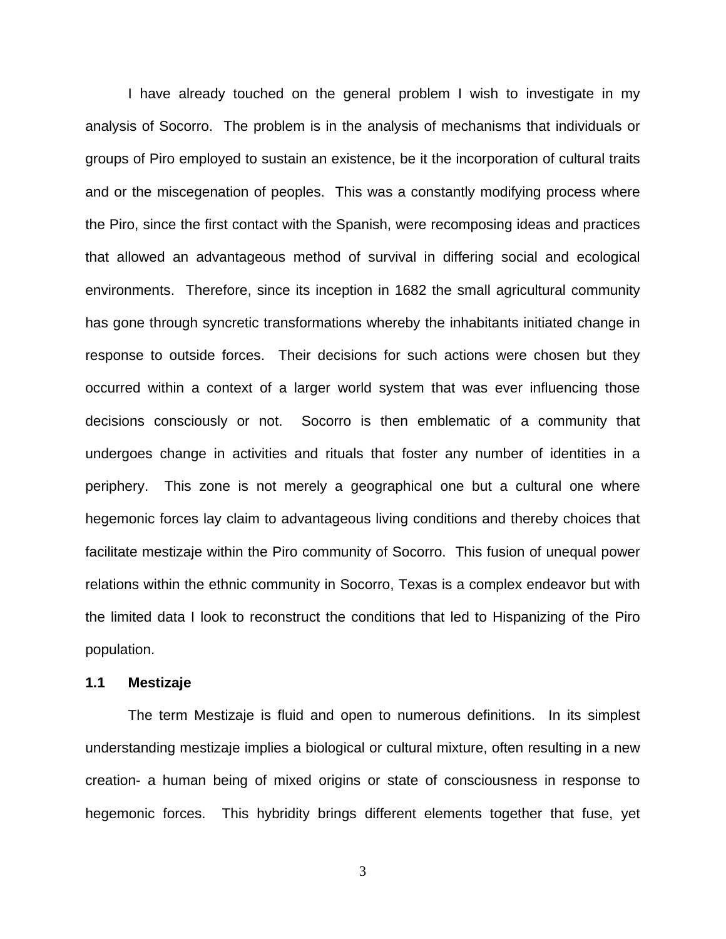I have already touched on the general problem I wish to investigate in my analysis of Socorro. The problem is in the analysis of mechanisms that individuals or groups of Piro employed to sustain an existence, be it the incorporation of cultural traits and or the miscegenation of peoples. This was a constantly modifying process where the Piro, since the first contact with the Spanish, were recomposing ideas and practices that allowed an advantageous method of survival in differing social and ecological environments. Therefore, since its inception in 1682 the small agricultural community has gone through syncretic transformations whereby the inhabitants initiated change in response to outside forces. Their decisions for such actions were chosen but they occurred within a context of a larger world system that was ever influencing those decisions consciously or not. Socorro is then emblematic of a community that undergoes change in activities and rituals that foster any number of identities in a periphery. This zone is not merely a geographical one but a cultural one where hegemonic forces lay claim to advantageous living conditions and thereby choices that facilitate mestizaje within the Piro community of Socorro. This fusion of unequal power relations within the ethnic community in Socorro, Texas is a complex endeavor but with the limited data I look to reconstruct the conditions that led to Hispanizing of the Piro population.

#### **1.1 Mestizaje**

The term Mestizaje is fluid and open to numerous definitions. In its simplest understanding mestizaje implies a biological or cultural mixture, often resulting in a new creation- a human being of mixed origins or state of consciousness in response to hegemonic forces. This hybridity brings different elements together that fuse, yet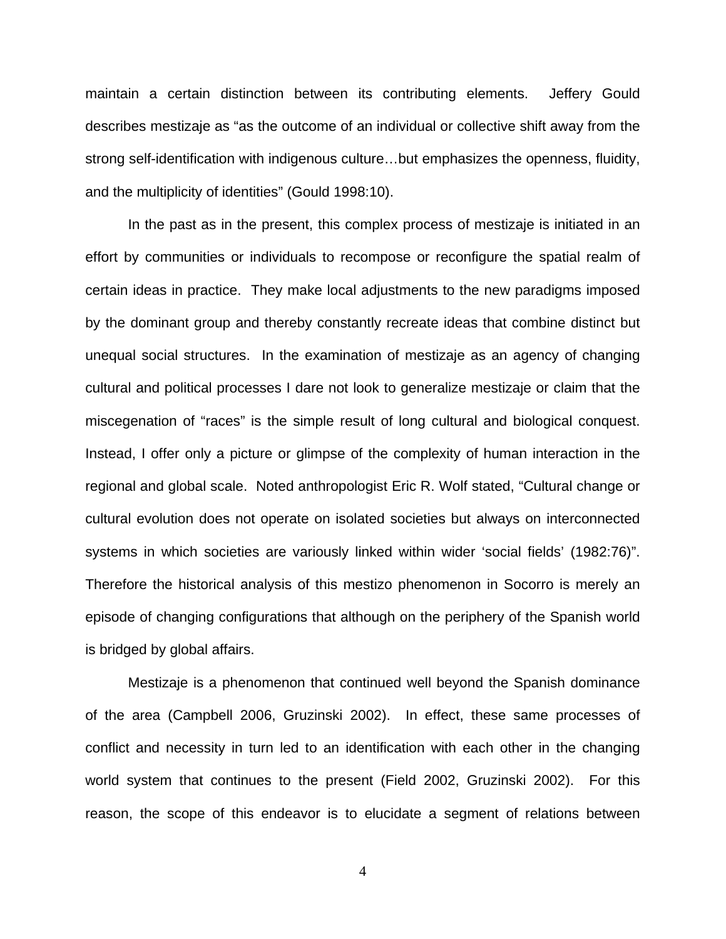maintain a certain distinction between its contributing elements. Jeffery Gould describes mestizaje as "as the outcome of an individual or collective shift away from the strong self-identification with indigenous culture…but emphasizes the openness, fluidity, and the multiplicity of identities" (Gould 1998:10).

In the past as in the present, this complex process of mestizaje is initiated in an effort by communities or individuals to recompose or reconfigure the spatial realm of certain ideas in practice. They make local adjustments to the new paradigms imposed by the dominant group and thereby constantly recreate ideas that combine distinct but unequal social structures. In the examination of mestizaje as an agency of changing cultural and political processes I dare not look to generalize mestizaje or claim that the miscegenation of "races" is the simple result of long cultural and biological conquest. Instead, I offer only a picture or glimpse of the complexity of human interaction in the regional and global scale. Noted anthropologist Eric R. Wolf stated, "Cultural change or cultural evolution does not operate on isolated societies but always on interconnected systems in which societies are variously linked within wider 'social fields' (1982:76)". Therefore the historical analysis of this mestizo phenomenon in Socorro is merely an episode of changing configurations that although on the periphery of the Spanish world is bridged by global affairs.

Mestizaje is a phenomenon that continued well beyond the Spanish dominance of the area (Campbell 2006, Gruzinski 2002). In effect, these same processes of conflict and necessity in turn led to an identification with each other in the changing world system that continues to the present (Field 2002, Gruzinski 2002). For this reason, the scope of this endeavor is to elucidate a segment of relations between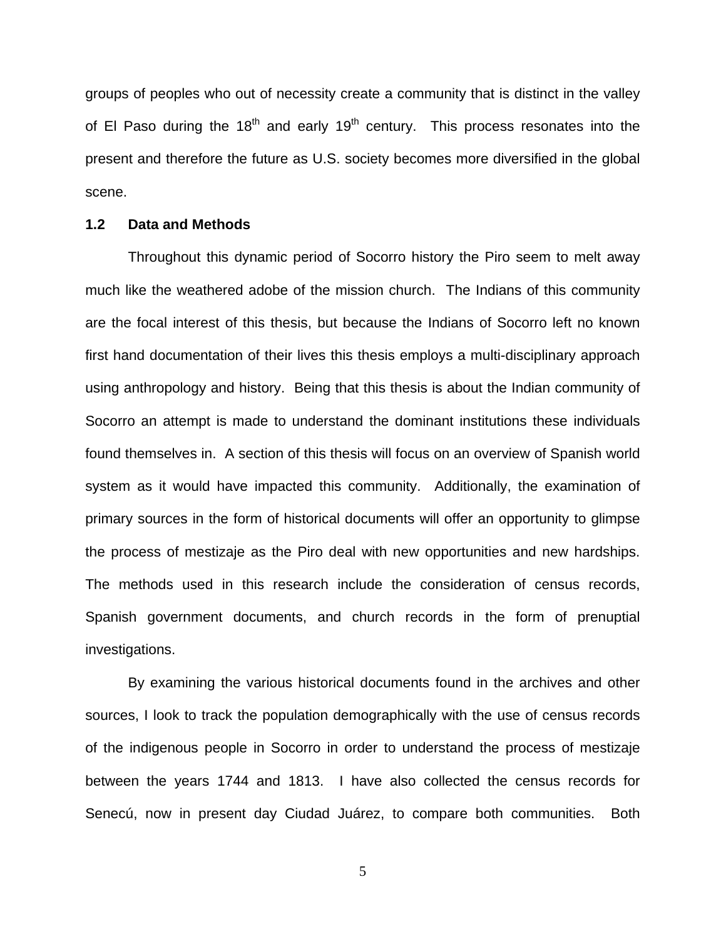groups of peoples who out of necessity create a community that is distinct in the valley of El Paso during the  $18<sup>th</sup>$  and early  $19<sup>th</sup>$  century. This process resonates into the present and therefore the future as U.S. society becomes more diversified in the global scene.

#### **1.2 Data and Methods**

Throughout this dynamic period of Socorro history the Piro seem to melt away much like the weathered adobe of the mission church. The Indians of this community are the focal interest of this thesis, but because the Indians of Socorro left no known first hand documentation of their lives this thesis employs a multi-disciplinary approach using anthropology and history. Being that this thesis is about the Indian community of Socorro an attempt is made to understand the dominant institutions these individuals found themselves in. A section of this thesis will focus on an overview of Spanish world system as it would have impacted this community. Additionally, the examination of primary sources in the form of historical documents will offer an opportunity to glimpse the process of mestizaje as the Piro deal with new opportunities and new hardships. The methods used in this research include the consideration of census records, Spanish government documents, and church records in the form of prenuptial investigations.

By examining the various historical documents found in the archives and other sources, I look to track the population demographically with the use of census records of the indigenous people in Socorro in order to understand the process of mestizaje between the years 1744 and 1813. I have also collected the census records for Senecú, now in present day Ciudad Juárez, to compare both communities. Both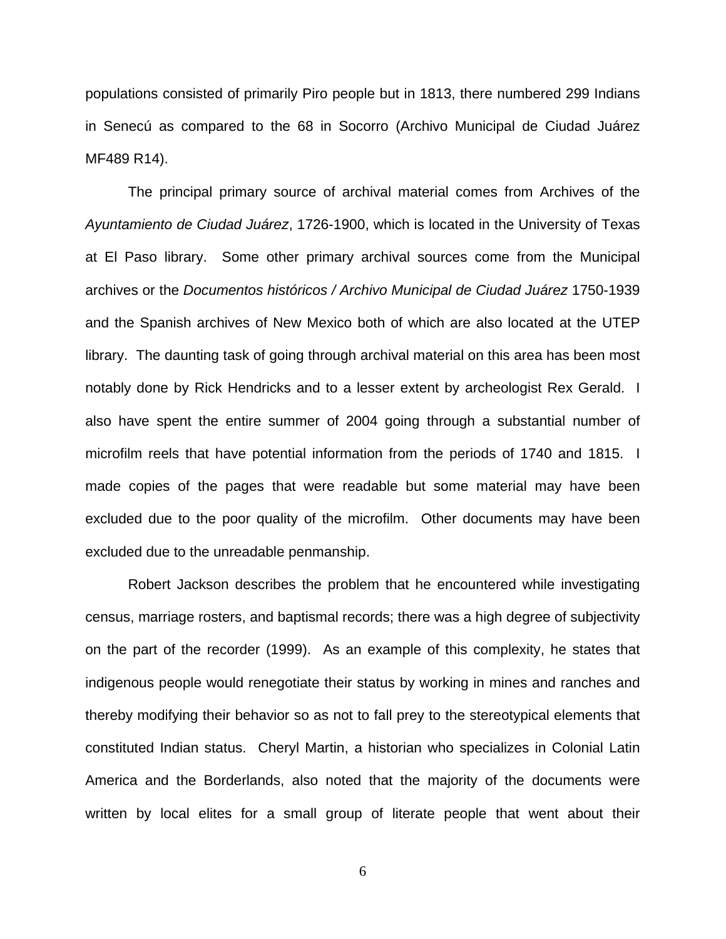populations consisted of primarily Piro people but in 1813, there numbered 299 Indians in Senecú as compared to the 68 in Socorro (Archivo Municipal de Ciudad Juárez MF489 R14).

The principal primary source of archival material comes from Archives of the *Ayuntamiento de Ciudad Juárez*, 1726-1900, which is located in the University of Texas at El Paso library. Some other primary archival sources come from the Municipal archives or the *Documentos históricos / Archivo Municipal de Ciudad Juárez* 1750-1939 and the Spanish archives of New Mexico both of which are also located at the UTEP library. The daunting task of going through archival material on this area has been most notably done by Rick Hendricks and to a lesser extent by archeologist Rex Gerald. I also have spent the entire summer of 2004 going through a substantial number of microfilm reels that have potential information from the periods of 1740 and 1815. I made copies of the pages that were readable but some material may have been excluded due to the poor quality of the microfilm. Other documents may have been excluded due to the unreadable penmanship.

Robert Jackson describes the problem that he encountered while investigating census, marriage rosters, and baptismal records; there was a high degree of subjectivity on the part of the recorder (1999). As an example of this complexity, he states that indigenous people would renegotiate their status by working in mines and ranches and thereby modifying their behavior so as not to fall prey to the stereotypical elements that constituted Indian status. Cheryl Martin, a historian who specializes in Colonial Latin America and the Borderlands, also noted that the majority of the documents were written by local elites for a small group of literate people that went about their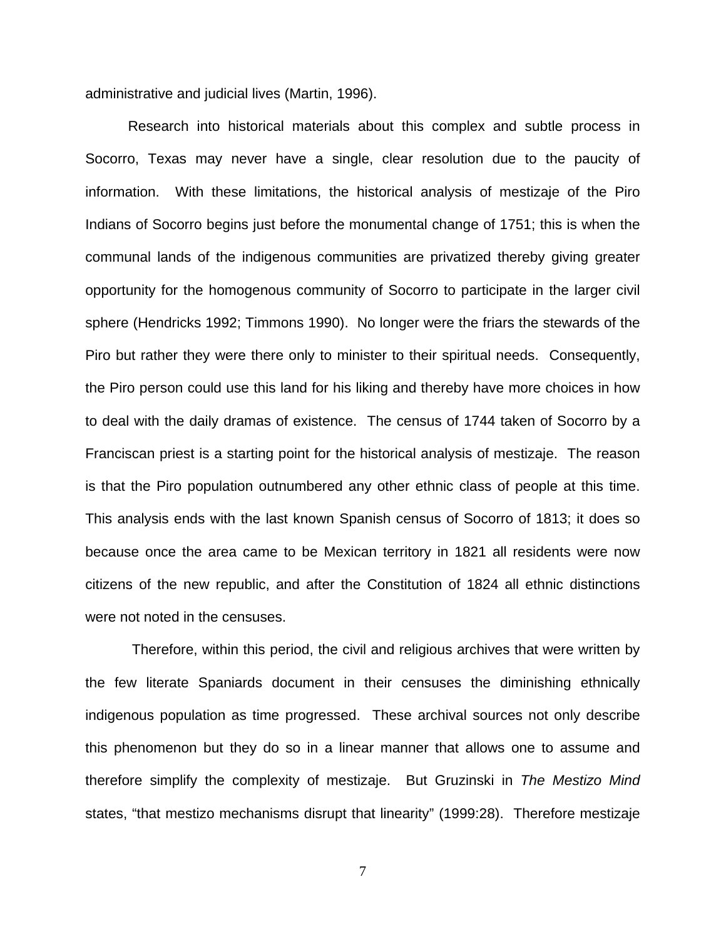administrative and judicial lives (Martin, 1996).

Research into historical materials about this complex and subtle process in Socorro, Texas may never have a single, clear resolution due to the paucity of information. With these limitations, the historical analysis of mestizaje of the Piro Indians of Socorro begins just before the monumental change of 1751; this is when the communal lands of the indigenous communities are privatized thereby giving greater opportunity for the homogenous community of Socorro to participate in the larger civil sphere (Hendricks 1992; Timmons 1990). No longer were the friars the stewards of the Piro but rather they were there only to minister to their spiritual needs. Consequently, the Piro person could use this land for his liking and thereby have more choices in how to deal with the daily dramas of existence. The census of 1744 taken of Socorro by a Franciscan priest is a starting point for the historical analysis of mestizaje. The reason is that the Piro population outnumbered any other ethnic class of people at this time. This analysis ends with the last known Spanish census of Socorro of 1813; it does so because once the area came to be Mexican territory in 1821 all residents were now citizens of the new republic, and after the Constitution of 1824 all ethnic distinctions were not noted in the censuses.

Therefore, within this period, the civil and religious archives that were written by the few literate Spaniards document in their censuses the diminishing ethnically indigenous population as time progressed. These archival sources not only describe this phenomenon but they do so in a linear manner that allows one to assume and therefore simplify the complexity of mestizaje. But Gruzinski in *The Mestizo Mind* states, "that mestizo mechanisms disrupt that linearity" (1999:28). Therefore mestizaje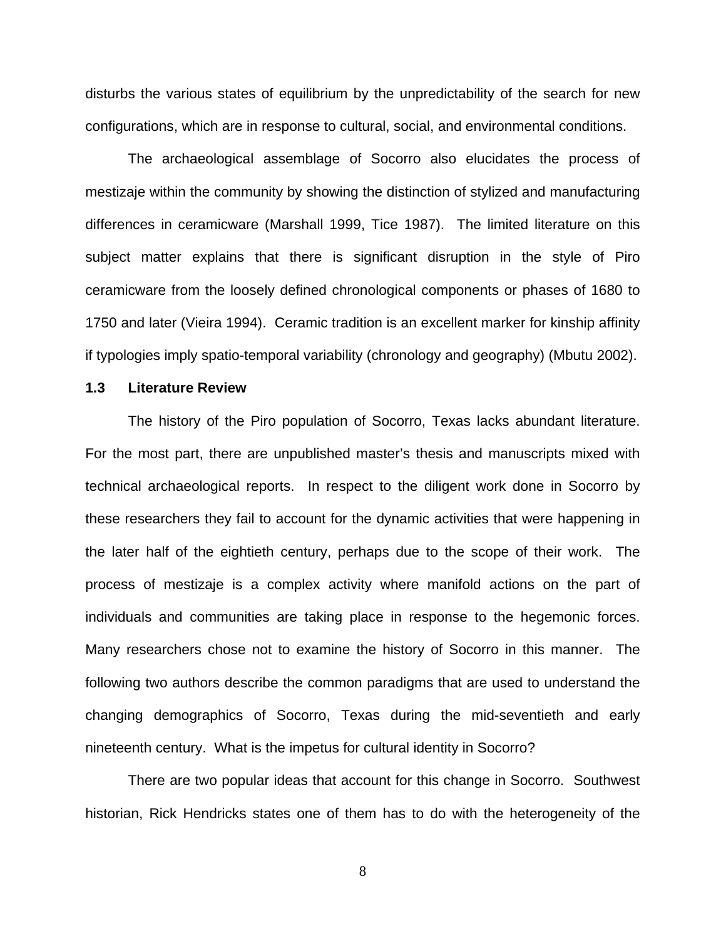disturbs the various states of equilibrium by the unpredictability of the search for new configurations, which are in response to cultural, social, and environmental conditions.

The archaeological assemblage of Socorro also elucidates the process of mestizaje within the community by showing the distinction of stylized and manufacturing differences in ceramicware (Marshall 1999, Tice 1987). The limited literature on this subject matter explains that there is significant disruption in the style of Piro ceramicware from the loosely defined chronological components or phases of 1680 to 1750 and later (Vieira 1994). Ceramic tradition is an excellent marker for kinship affinity if typologies imply spatio-temporal variability (chronology and geography) (Mbutu 2002).

#### **1.3 Literature Review**

The history of the Piro population of Socorro, Texas lacks abundant literature. For the most part, there are unpublished master's thesis and manuscripts mixed with technical archaeological reports. In respect to the diligent work done in Socorro by these researchers they fail to account for the dynamic activities that were happening in the later half of the eightieth century, perhaps due to the scope of their work. The process of mestizaje is a complex activity where manifold actions on the part of individuals and communities are taking place in response to the hegemonic forces. Many researchers chose not to examine the history of Socorro in this manner. The following two authors describe the common paradigms that are used to understand the changing demographics of Socorro, Texas during the mid-seventieth and early nineteenth century. What is the impetus for cultural identity in Socorro?

There are two popular ideas that account for this change in Socorro. Southwest historian, Rick Hendricks states one of them has to do with the heterogeneity of the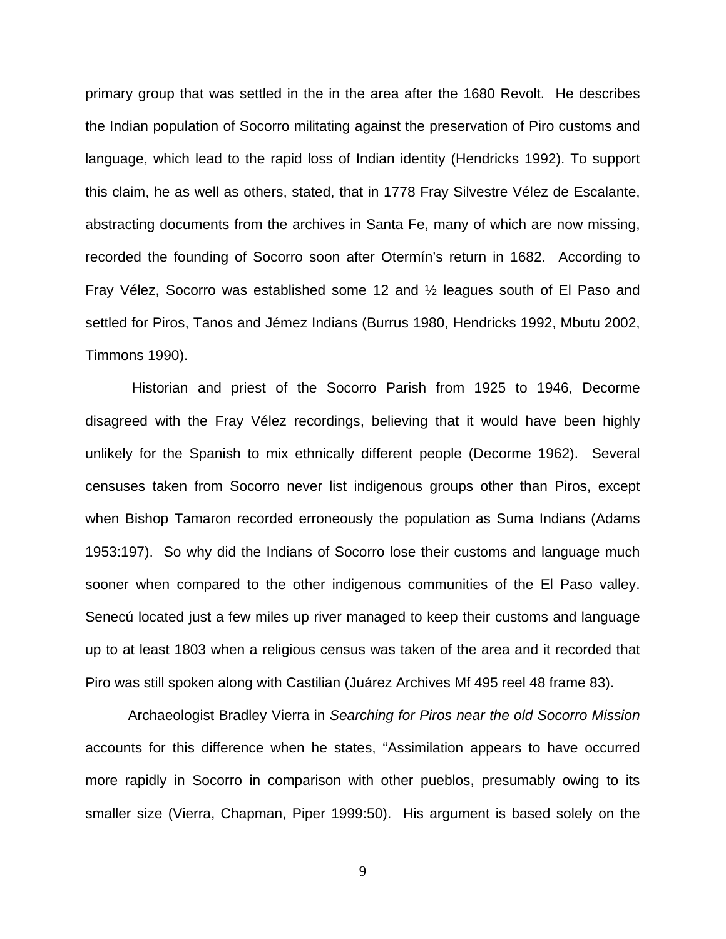primary group that was settled in the in the area after the 1680 Revolt. He describes the Indian population of Socorro militating against the preservation of Piro customs and language, which lead to the rapid loss of Indian identity (Hendricks 1992). To support this claim, he as well as others, stated, that in 1778 Fray Silvestre Vélez de Escalante, abstracting documents from the archives in Santa Fe, many of which are now missing, recorded the founding of Socorro soon after Otermín's return in 1682. According to Fray Vélez, Socorro was established some 12 and ½ leagues south of El Paso and settled for Piros, Tanos and Jémez Indians (Burrus 1980, Hendricks 1992, Mbutu 2002, Timmons 1990).

Historian and priest of the Socorro Parish from 1925 to 1946, Decorme disagreed with the Fray Vélez recordings, believing that it would have been highly unlikely for the Spanish to mix ethnically different people (Decorme 1962). Several censuses taken from Socorro never list indigenous groups other than Piros, except when Bishop Tamaron recorded erroneously the population as Suma Indians (Adams 1953:197). So why did the Indians of Socorro lose their customs and language much sooner when compared to the other indigenous communities of the El Paso valley. Senecú located just a few miles up river managed to keep their customs and language up to at least 1803 when a religious census was taken of the area and it recorded that Piro was still spoken along with Castilian (Juárez Archives Mf 495 reel 48 frame 83).

Archaeologist Bradley Vierra in *Searching for Piros near the old Socorro Mission* accounts for this difference when he states, "Assimilation appears to have occurred more rapidly in Socorro in comparison with other pueblos, presumably owing to its smaller size (Vierra, Chapman, Piper 1999:50). His argument is based solely on the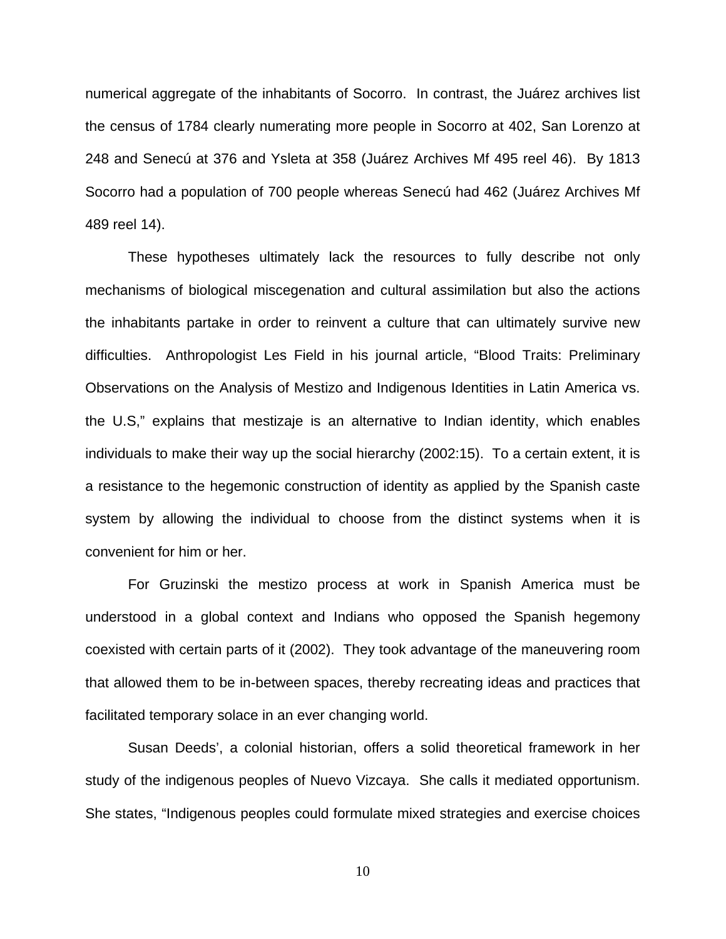numerical aggregate of the inhabitants of Socorro. In contrast, the Juárez archives list the census of 1784 clearly numerating more people in Socorro at 402, San Lorenzo at 248 and Senecú at 376 and Ysleta at 358 (Juárez Archives Mf 495 reel 46). By 1813 Socorro had a population of 700 people whereas Senecú had 462 (Juárez Archives Mf 489 reel 14).

These hypotheses ultimately lack the resources to fully describe not only mechanisms of biological miscegenation and cultural assimilation but also the actions the inhabitants partake in order to reinvent a culture that can ultimately survive new difficulties. Anthropologist Les Field in his journal article, "Blood Traits: Preliminary Observations on the Analysis of Mestizo and Indigenous Identities in Latin America vs. the U.S," explains that mestizaje is an alternative to Indian identity, which enables individuals to make their way up the social hierarchy (2002:15). To a certain extent, it is a resistance to the hegemonic construction of identity as applied by the Spanish caste system by allowing the individual to choose from the distinct systems when it is convenient for him or her.

For Gruzinski the mestizo process at work in Spanish America must be understood in a global context and Indians who opposed the Spanish hegemony coexisted with certain parts of it (2002). They took advantage of the maneuvering room that allowed them to be in-between spaces, thereby recreating ideas and practices that facilitated temporary solace in an ever changing world.

Susan Deeds', a colonial historian, offers a solid theoretical framework in her study of the indigenous peoples of Nuevo Vizcaya. She calls it mediated opportunism. She states, "Indigenous peoples could formulate mixed strategies and exercise choices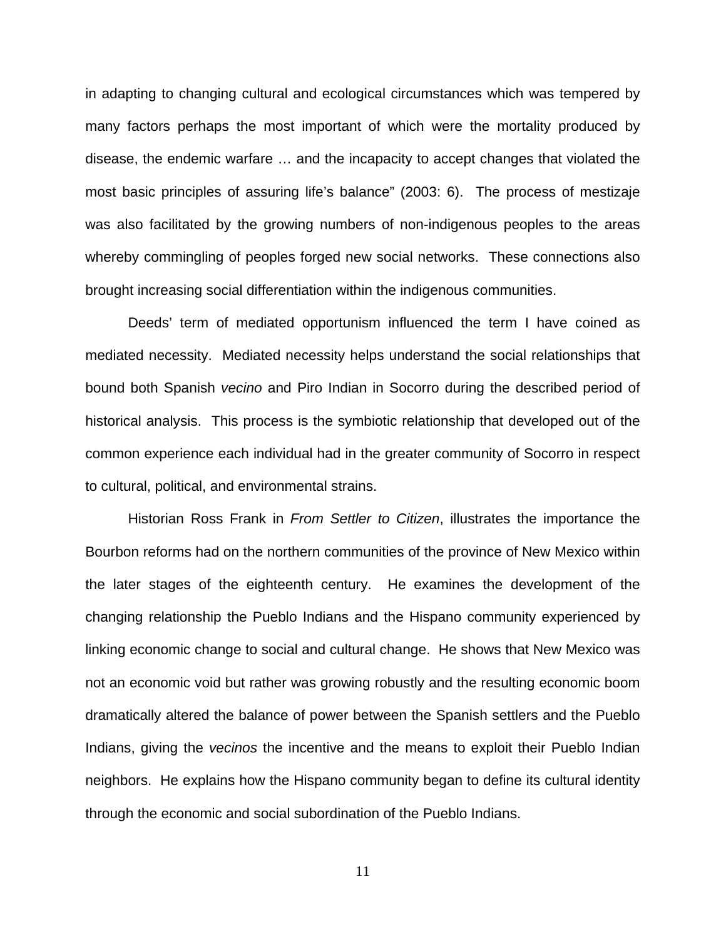in adapting to changing cultural and ecological circumstances which was tempered by many factors perhaps the most important of which were the mortality produced by disease, the endemic warfare … and the incapacity to accept changes that violated the most basic principles of assuring life's balance" (2003: 6). The process of mestizaje was also facilitated by the growing numbers of non-indigenous peoples to the areas whereby commingling of peoples forged new social networks. These connections also brought increasing social differentiation within the indigenous communities.

Deeds' term of mediated opportunism influenced the term I have coined as mediated necessity. Mediated necessity helps understand the social relationships that bound both Spanish *vecino* and Piro Indian in Socorro during the described period of historical analysis. This process is the symbiotic relationship that developed out of the common experience each individual had in the greater community of Socorro in respect to cultural, political, and environmental strains.

Historian Ross Frank in *From Settler to Citizen*, illustrates the importance the Bourbon reforms had on the northern communities of the province of New Mexico within the later stages of the eighteenth century. He examines the development of the changing relationship the Pueblo Indians and the Hispano community experienced by linking economic change to social and cultural change. He shows that New Mexico was not an economic void but rather was growing robustly and the resulting economic boom dramatically altered the balance of power between the Spanish settlers and the Pueblo Indians, giving the *vecinos* the incentive and the means to exploit their Pueblo Indian neighbors. He explains how the Hispano community began to define its cultural identity through the economic and social subordination of the Pueblo Indians.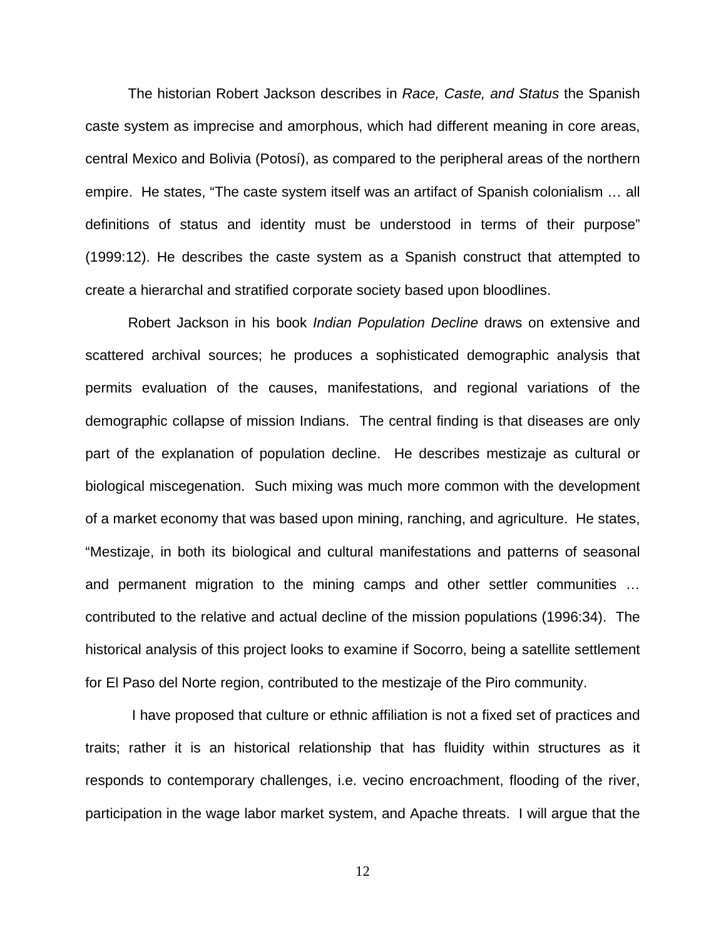The historian Robert Jackson describes in *Race, Caste, and Status* the Spanish caste system as imprecise and amorphous, which had different meaning in core areas, central Mexico and Bolivia (Potosí), as compared to the peripheral areas of the northern empire. He states, "The caste system itself was an artifact of Spanish colonialism … all definitions of status and identity must be understood in terms of their purpose" (1999:12). He describes the caste system as a Spanish construct that attempted to create a hierarchal and stratified corporate society based upon bloodlines.

Robert Jackson in his book *Indian Population Decline* draws on extensive and scattered archival sources; he produces a sophisticated demographic analysis that permits evaluation of the causes, manifestations, and regional variations of the demographic collapse of mission Indians. The central finding is that diseases are only part of the explanation of population decline. He describes mestizaje as cultural or biological miscegenation. Such mixing was much more common with the development of a market economy that was based upon mining, ranching, and agriculture. He states, "Mestizaje, in both its biological and cultural manifestations and patterns of seasonal and permanent migration to the mining camps and other settler communities … contributed to the relative and actual decline of the mission populations (1996:34). The historical analysis of this project looks to examine if Socorro, being a satellite settlement for El Paso del Norte region, contributed to the mestizaje of the Piro community.

I have proposed that culture or ethnic affiliation is not a fixed set of practices and traits; rather it is an historical relationship that has fluidity within structures as it responds to contemporary challenges, i.e. vecino encroachment, flooding of the river, participation in the wage labor market system, and Apache threats. I will argue that the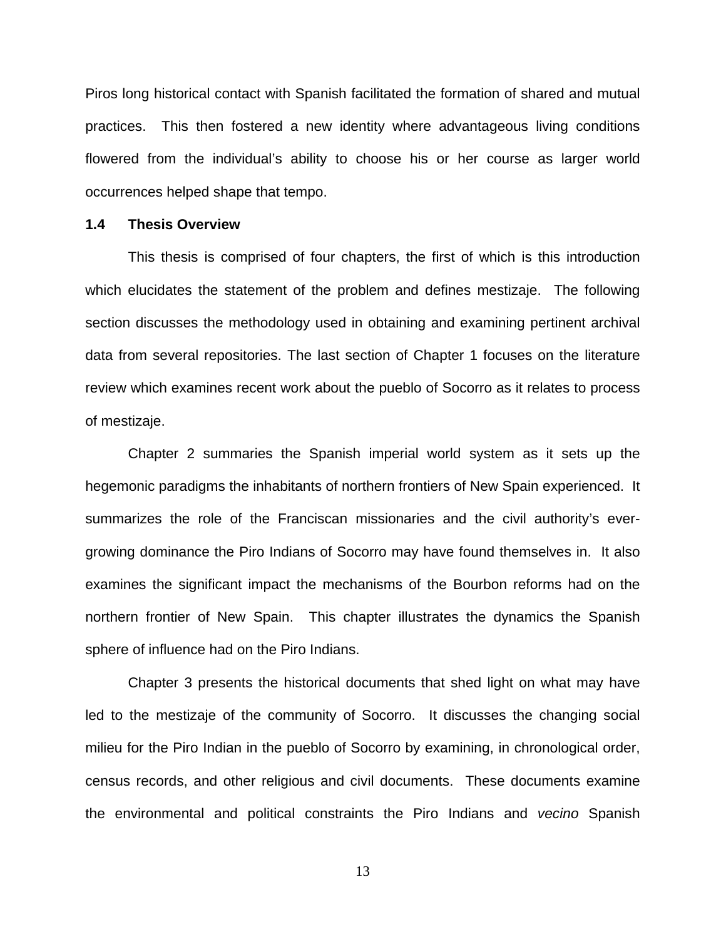Piros long historical contact with Spanish facilitated the formation of shared and mutual practices. This then fostered a new identity where advantageous living conditions flowered from the individual's ability to choose his or her course as larger world occurrences helped shape that tempo.

#### **1.4 Thesis Overview**

This thesis is comprised of four chapters, the first of which is this introduction which elucidates the statement of the problem and defines mestizaje. The following section discusses the methodology used in obtaining and examining pertinent archival data from several repositories. The last section of Chapter 1 focuses on the literature review which examines recent work about the pueblo of Socorro as it relates to process of mestizaje.

Chapter 2 summaries the Spanish imperial world system as it sets up the hegemonic paradigms the inhabitants of northern frontiers of New Spain experienced. It summarizes the role of the Franciscan missionaries and the civil authority's evergrowing dominance the Piro Indians of Socorro may have found themselves in. It also examines the significant impact the mechanisms of the Bourbon reforms had on the northern frontier of New Spain. This chapter illustrates the dynamics the Spanish sphere of influence had on the Piro Indians.

Chapter 3 presents the historical documents that shed light on what may have led to the mestizaje of the community of Socorro. It discusses the changing social milieu for the Piro Indian in the pueblo of Socorro by examining, in chronological order, census records, and other religious and civil documents. These documents examine the environmental and political constraints the Piro Indians and *vecino* Spanish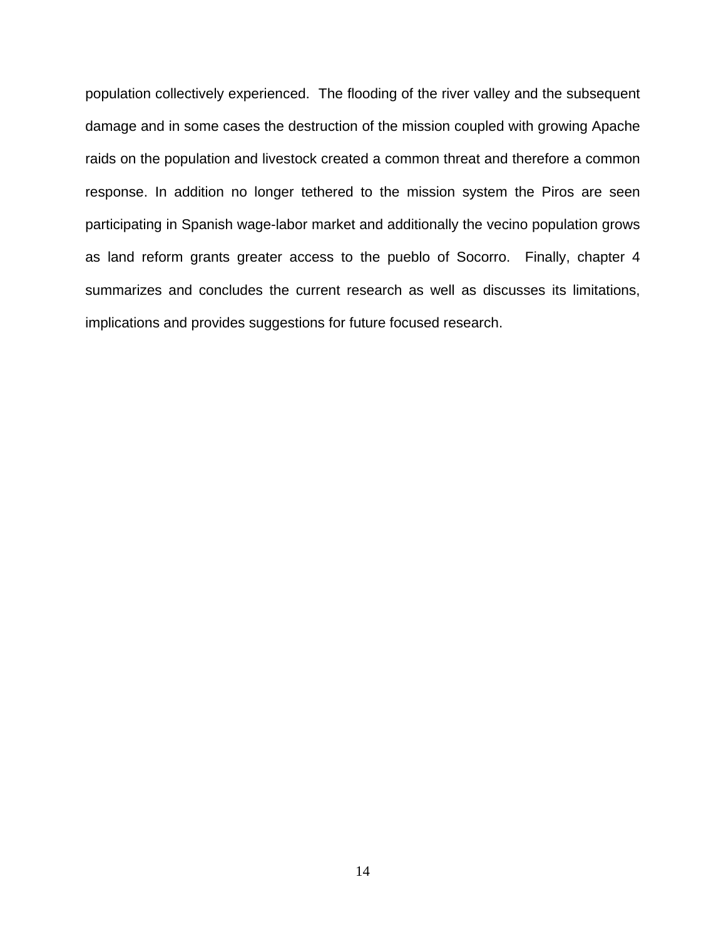<span id="page-23-0"></span>population collectively experienced. The flooding of the river valley and the subsequent damage and in some cases the destruction of the mission coupled with growing Apache raids on the population and livestock created a common threat and therefore a common response. In addition no longer tethered to the mission system the Piros are seen participating in Spanish wage-labor market and additionally the vecino population grows as land reform grants greater access to the pueblo of Socorro. Finally, chapter 4 summarizes and concludes the current research as well as discusses its limitations, implications and provides suggestions for future focused research.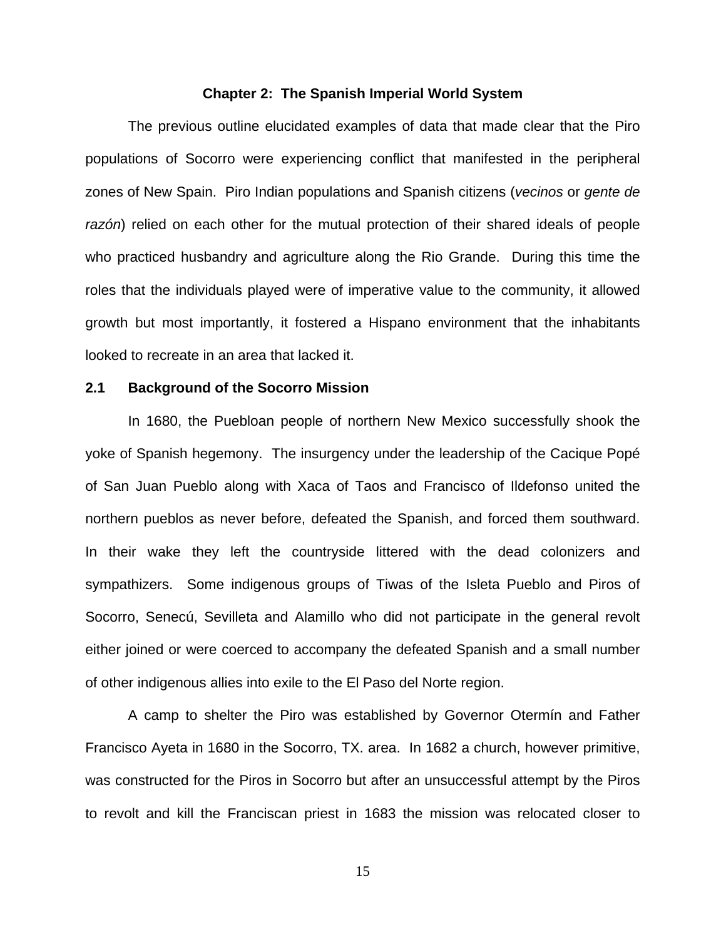#### **Chapter 2: The Spanish Imperial World System**

The previous outline elucidated examples of data that made clear that the Piro populations of Socorro were experiencing conflict that manifested in the peripheral zones of New Spain. Piro Indian populations and Spanish citizens (*vecinos* or *gente de razón*) relied on each other for the mutual protection of their shared ideals of people who practiced husbandry and agriculture along the Rio Grande. During this time the roles that the individuals played were of imperative value to the community, it allowed growth but most importantly, it fostered a Hispano environment that the inhabitants looked to recreate in an area that lacked it.

#### **2.1 Background of the Socorro Mission**

In 1680, the Puebloan people of northern New Mexico successfully shook the yoke of Spanish hegemony. The insurgency under the leadership of the Cacique Popé of San Juan Pueblo along with Xaca of Taos and Francisco of Ildefonso united the northern pueblos as never before, defeated the Spanish, and forced them southward. In their wake they left the countryside littered with the dead colonizers and sympathizers. Some indigenous groups of Tiwas of the Isleta Pueblo and Piros of Socorro, Senecú, Sevilleta and Alamillo who did not participate in the general revolt either joined or were coerced to accompany the defeated Spanish and a small number of other indigenous allies into exile to the El Paso del Norte region.

A camp to shelter the Piro was established by Governor Otermín and Father Francisco Ayeta in 1680 in the Socorro, TX. area. In 1682 a church, however primitive, was constructed for the Piros in Socorro but after an unsuccessful attempt by the Piros to revolt and kill the Franciscan priest in 1683 the mission was relocated closer to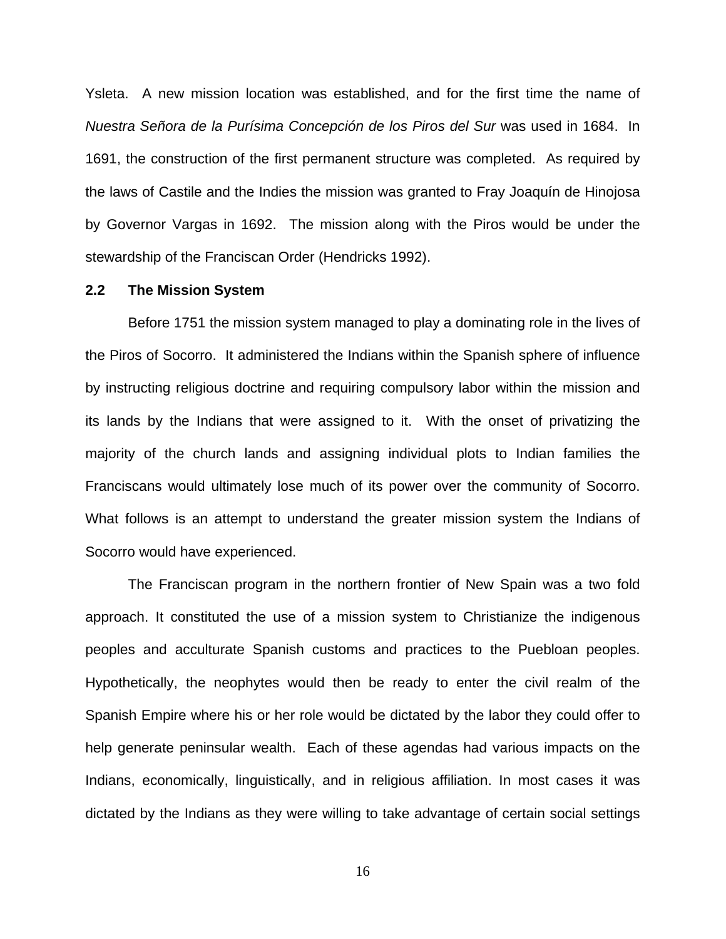Ysleta. A new mission location was established, and for the first time the name of *Nuestra Señora de la Purísima Concepción de los Piros del Sur* was used in 1684. In 1691, the construction of the first permanent structure was completed. As required by the laws of Castile and the Indies the mission was granted to Fray Joaquín de Hinojosa by Governor Vargas in 1692. The mission along with the Piros would be under the stewardship of the Franciscan Order (Hendricks 1992).

#### **2.2 The Mission System**

Before 1751 the mission system managed to play a dominating role in the lives of the Piros of Socorro. It administered the Indians within the Spanish sphere of influence by instructing religious doctrine and requiring compulsory labor within the mission and its lands by the Indians that were assigned to it. With the onset of privatizing the majority of the church lands and assigning individual plots to Indian families the Franciscans would ultimately lose much of its power over the community of Socorro. What follows is an attempt to understand the greater mission system the Indians of Socorro would have experienced.

The Franciscan program in the northern frontier of New Spain was a two fold approach. It constituted the use of a mission system to Christianize the indigenous peoples and acculturate Spanish customs and practices to the Puebloan peoples. Hypothetically, the neophytes would then be ready to enter the civil realm of the Spanish Empire where his or her role would be dictated by the labor they could offer to help generate peninsular wealth. Each of these agendas had various impacts on the Indians, economically, linguistically, and in religious affiliation. In most cases it was dictated by the Indians as they were willing to take advantage of certain social settings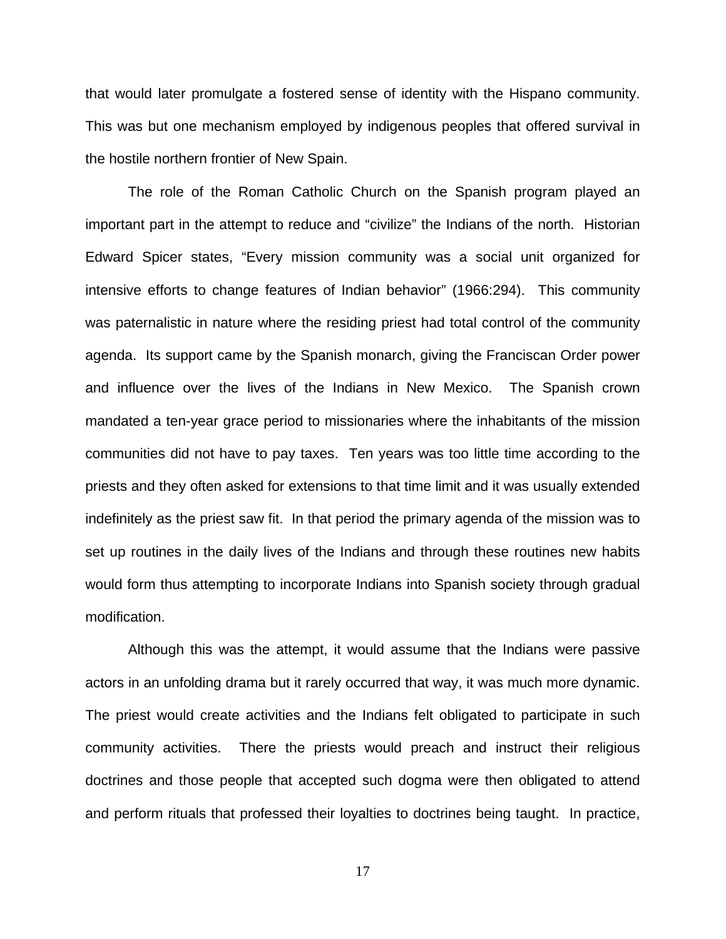that would later promulgate a fostered sense of identity with the Hispano community. This was but one mechanism employed by indigenous peoples that offered survival in the hostile northern frontier of New Spain.

The role of the Roman Catholic Church on the Spanish program played an important part in the attempt to reduce and "civilize" the Indians of the north. Historian Edward Spicer states, "Every mission community was a social unit organized for intensive efforts to change features of Indian behavior" (1966:294). This community was paternalistic in nature where the residing priest had total control of the community agenda. Its support came by the Spanish monarch, giving the Franciscan Order power and influence over the lives of the Indians in New Mexico. The Spanish crown mandated a ten-year grace period to missionaries where the inhabitants of the mission communities did not have to pay taxes. Ten years was too little time according to the priests and they often asked for extensions to that time limit and it was usually extended indefinitely as the priest saw fit. In that period the primary agenda of the mission was to set up routines in the daily lives of the Indians and through these routines new habits would form thus attempting to incorporate Indians into Spanish society through gradual modification.

Although this was the attempt, it would assume that the Indians were passive actors in an unfolding drama but it rarely occurred that way, it was much more dynamic. The priest would create activities and the Indians felt obligated to participate in such community activities. There the priests would preach and instruct their religious doctrines and those people that accepted such dogma were then obligated to attend and perform rituals that professed their loyalties to doctrines being taught. In practice,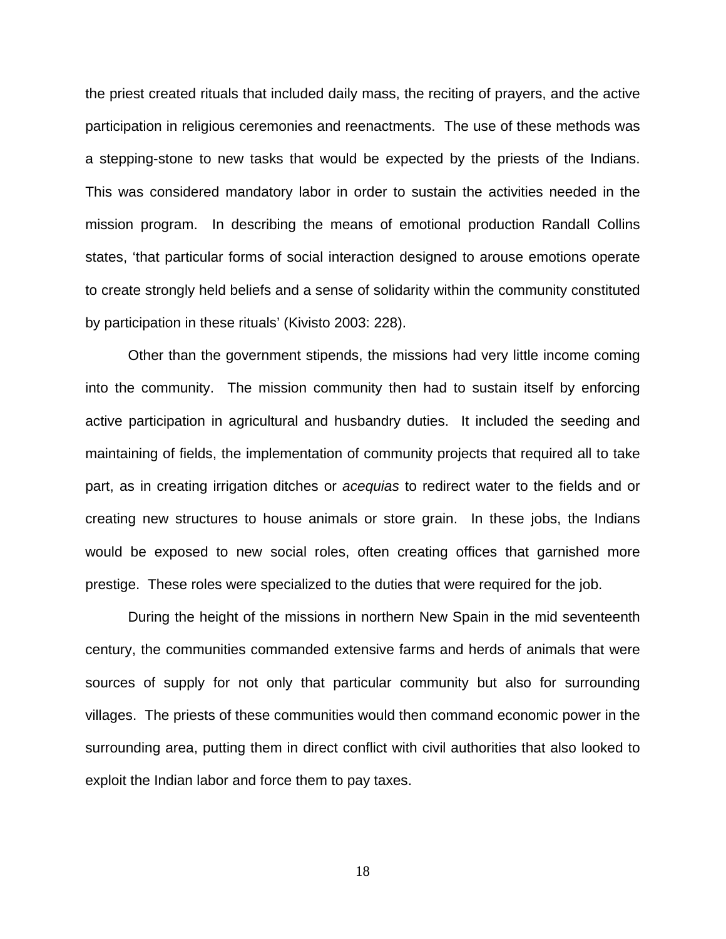the priest created rituals that included daily mass, the reciting of prayers, and the active participation in religious ceremonies and reenactments. The use of these methods was a stepping-stone to new tasks that would be expected by the priests of the Indians. This was considered mandatory labor in order to sustain the activities needed in the mission program. In describing the means of emotional production Randall Collins states, 'that particular forms of social interaction designed to arouse emotions operate to create strongly held beliefs and a sense of solidarity within the community constituted by participation in these rituals' (Kivisto 2003: 228).

Other than the government stipends, the missions had very little income coming into the community. The mission community then had to sustain itself by enforcing active participation in agricultural and husbandry duties. It included the seeding and maintaining of fields, the implementation of community projects that required all to take part, as in creating irrigation ditches or *acequias* to redirect water to the fields and or creating new structures to house animals or store grain. In these jobs, the Indians would be exposed to new social roles, often creating offices that garnished more prestige. These roles were specialized to the duties that were required for the job.

During the height of the missions in northern New Spain in the mid seventeenth century, the communities commanded extensive farms and herds of animals that were sources of supply for not only that particular community but also for surrounding villages. The priests of these communities would then command economic power in the surrounding area, putting them in direct conflict with civil authorities that also looked to exploit the Indian labor and force them to pay taxes.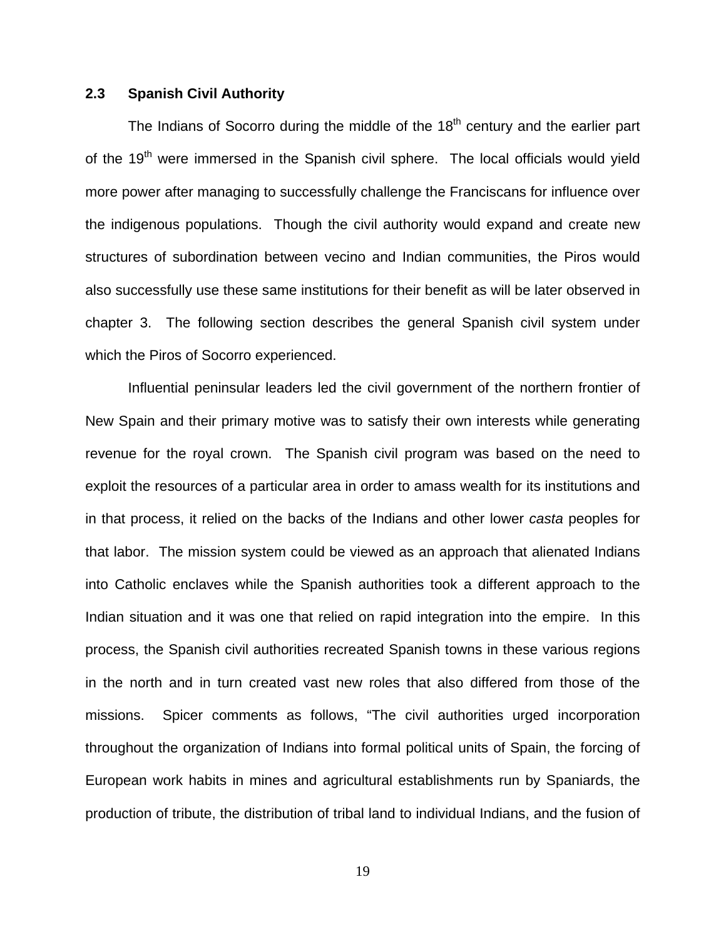#### **2.3 Spanish Civil Authority**

The Indians of Socorro during the middle of the  $18<sup>th</sup>$  century and the earlier part of the 19<sup>th</sup> were immersed in the Spanish civil sphere. The local officials would yield more power after managing to successfully challenge the Franciscans for influence over the indigenous populations. Though the civil authority would expand and create new structures of subordination between vecino and Indian communities, the Piros would also successfully use these same institutions for their benefit as will be later observed in chapter 3. The following section describes the general Spanish civil system under which the Piros of Socorro experienced.

Influential peninsular leaders led the civil government of the northern frontier of New Spain and their primary motive was to satisfy their own interests while generating revenue for the royal crown. The Spanish civil program was based on the need to exploit the resources of a particular area in order to amass wealth for its institutions and in that process, it relied on the backs of the Indians and other lower *casta* peoples for that labor. The mission system could be viewed as an approach that alienated Indians into Catholic enclaves while the Spanish authorities took a different approach to the Indian situation and it was one that relied on rapid integration into the empire. In this process, the Spanish civil authorities recreated Spanish towns in these various regions in the north and in turn created vast new roles that also differed from those of the missions. Spicer comments as follows, "The civil authorities urged incorporation throughout the organization of Indians into formal political units of Spain, the forcing of European work habits in mines and agricultural establishments run by Spaniards, the production of tribute, the distribution of tribal land to individual Indians, and the fusion of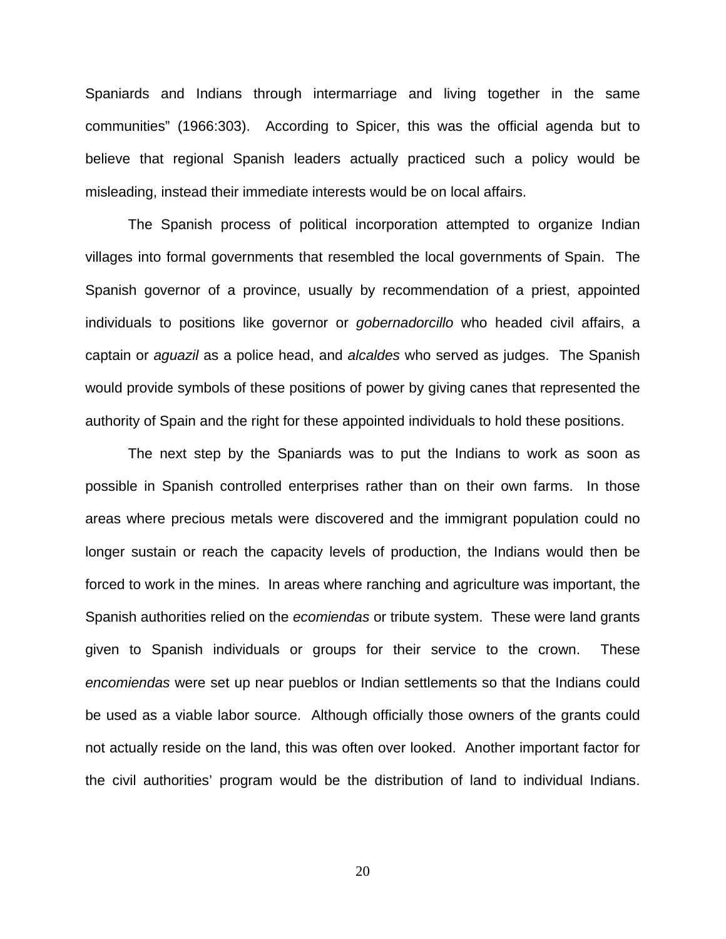Spaniards and Indians through intermarriage and living together in the same communities" (1966:303). According to Spicer, this was the official agenda but to believe that regional Spanish leaders actually practiced such a policy would be misleading, instead their immediate interests would be on local affairs.

The Spanish process of political incorporation attempted to organize Indian villages into formal governments that resembled the local governments of Spain. The Spanish governor of a province, usually by recommendation of a priest, appointed individuals to positions like governor or *gobernadorcillo* who headed civil affairs, a captain or *aguazil* as a police head, and *alcaldes* who served as judges. The Spanish would provide symbols of these positions of power by giving canes that represented the authority of Spain and the right for these appointed individuals to hold these positions.

The next step by the Spaniards was to put the Indians to work as soon as possible in Spanish controlled enterprises rather than on their own farms. In those areas where precious metals were discovered and the immigrant population could no longer sustain or reach the capacity levels of production, the Indians would then be forced to work in the mines. In areas where ranching and agriculture was important, the Spanish authorities relied on the *ecomiendas* or tribute system. These were land grants given to Spanish individuals or groups for their service to the crown. These *encomiendas* were set up near pueblos or Indian settlements so that the Indians could be used as a viable labor source. Although officially those owners of the grants could not actually reside on the land, this was often over looked. Another important factor for the civil authorities' program would be the distribution of land to individual Indians.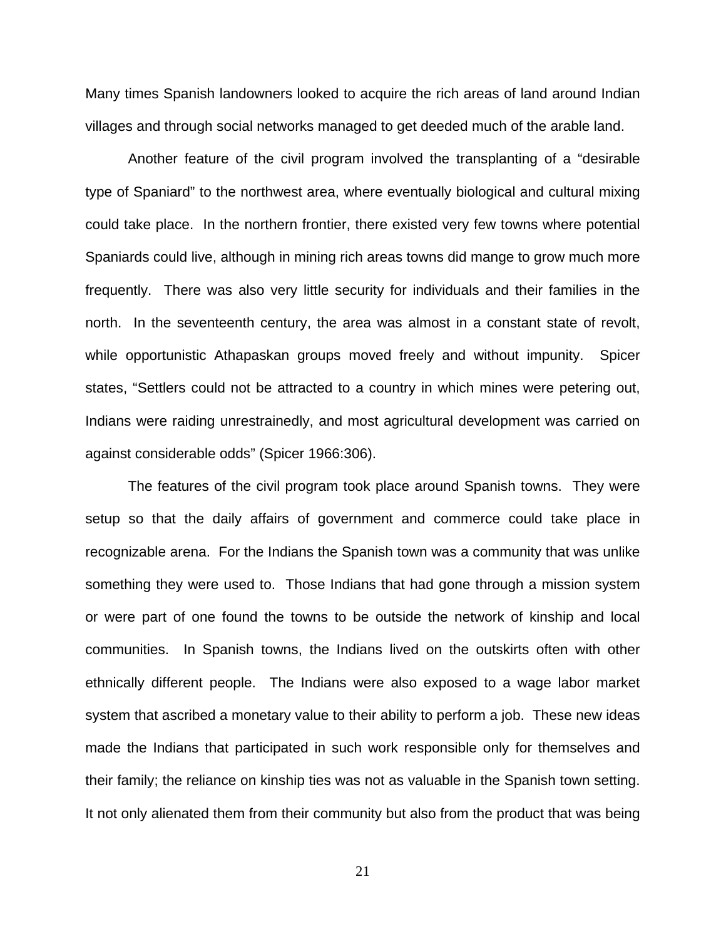Many times Spanish landowners looked to acquire the rich areas of land around Indian villages and through social networks managed to get deeded much of the arable land.

Another feature of the civil program involved the transplanting of a "desirable type of Spaniard" to the northwest area, where eventually biological and cultural mixing could take place. In the northern frontier, there existed very few towns where potential Spaniards could live, although in mining rich areas towns did mange to grow much more frequently. There was also very little security for individuals and their families in the north. In the seventeenth century, the area was almost in a constant state of revolt, while opportunistic Athapaskan groups moved freely and without impunity. Spicer states, "Settlers could not be attracted to a country in which mines were petering out, Indians were raiding unrestrainedly, and most agricultural development was carried on against considerable odds" (Spicer 1966:306).

The features of the civil program took place around Spanish towns. They were setup so that the daily affairs of government and commerce could take place in recognizable arena. For the Indians the Spanish town was a community that was unlike something they were used to. Those Indians that had gone through a mission system or were part of one found the towns to be outside the network of kinship and local communities. In Spanish towns, the Indians lived on the outskirts often with other ethnically different people. The Indians were also exposed to a wage labor market system that ascribed a monetary value to their ability to perform a job. These new ideas made the Indians that participated in such work responsible only for themselves and their family; the reliance on kinship ties was not as valuable in the Spanish town setting. It not only alienated them from their community but also from the product that was being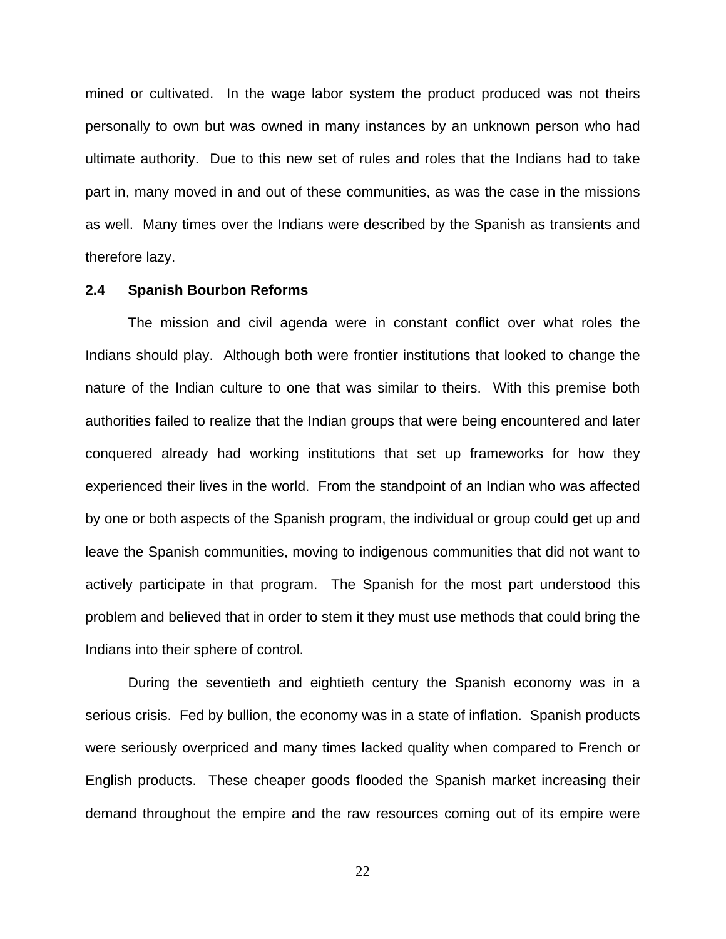mined or cultivated. In the wage labor system the product produced was not theirs personally to own but was owned in many instances by an unknown person who had ultimate authority. Due to this new set of rules and roles that the Indians had to take part in, many moved in and out of these communities, as was the case in the missions as well. Many times over the Indians were described by the Spanish as transients and therefore lazy.

#### **2.4 Spanish Bourbon Reforms**

The mission and civil agenda were in constant conflict over what roles the Indians should play. Although both were frontier institutions that looked to change the nature of the Indian culture to one that was similar to theirs. With this premise both authorities failed to realize that the Indian groups that were being encountered and later conquered already had working institutions that set up frameworks for how they experienced their lives in the world. From the standpoint of an Indian who was affected by one or both aspects of the Spanish program, the individual or group could get up and leave the Spanish communities, moving to indigenous communities that did not want to actively participate in that program. The Spanish for the most part understood this problem and believed that in order to stem it they must use methods that could bring the Indians into their sphere of control.

During the seventieth and eightieth century the Spanish economy was in a serious crisis. Fed by bullion, the economy was in a state of inflation. Spanish products were seriously overpriced and many times lacked quality when compared to French or English products. These cheaper goods flooded the Spanish market increasing their demand throughout the empire and the raw resources coming out of its empire were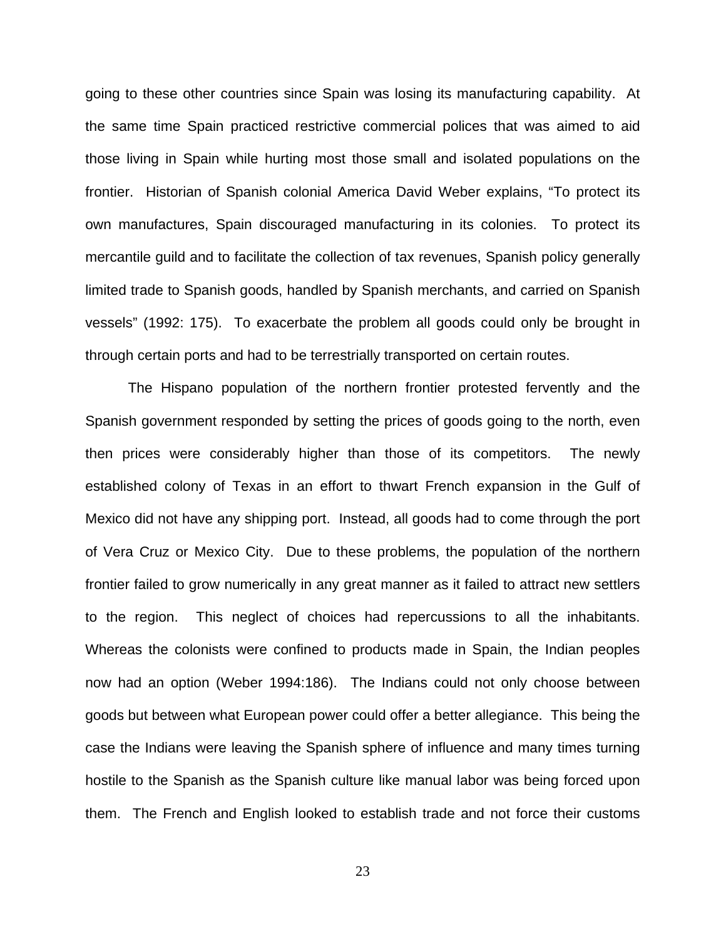going to these other countries since Spain was losing its manufacturing capability. At the same time Spain practiced restrictive commercial polices that was aimed to aid those living in Spain while hurting most those small and isolated populations on the frontier. Historian of Spanish colonial America David Weber explains, "To protect its own manufactures, Spain discouraged manufacturing in its colonies. To protect its mercantile guild and to facilitate the collection of tax revenues, Spanish policy generally limited trade to Spanish goods, handled by Spanish merchants, and carried on Spanish vessels" (1992: 175). To exacerbate the problem all goods could only be brought in through certain ports and had to be terrestrially transported on certain routes.

The Hispano population of the northern frontier protested fervently and the Spanish government responded by setting the prices of goods going to the north, even then prices were considerably higher than those of its competitors. The newly established colony of Texas in an effort to thwart French expansion in the Gulf of Mexico did not have any shipping port. Instead, all goods had to come through the port of Vera Cruz or Mexico City. Due to these problems, the population of the northern frontier failed to grow numerically in any great manner as it failed to attract new settlers to the region. This neglect of choices had repercussions to all the inhabitants. Whereas the colonists were confined to products made in Spain, the Indian peoples now had an option (Weber 1994:186). The Indians could not only choose between goods but between what European power could offer a better allegiance. This being the case the Indians were leaving the Spanish sphere of influence and many times turning hostile to the Spanish as the Spanish culture like manual labor was being forced upon them. The French and English looked to establish trade and not force their customs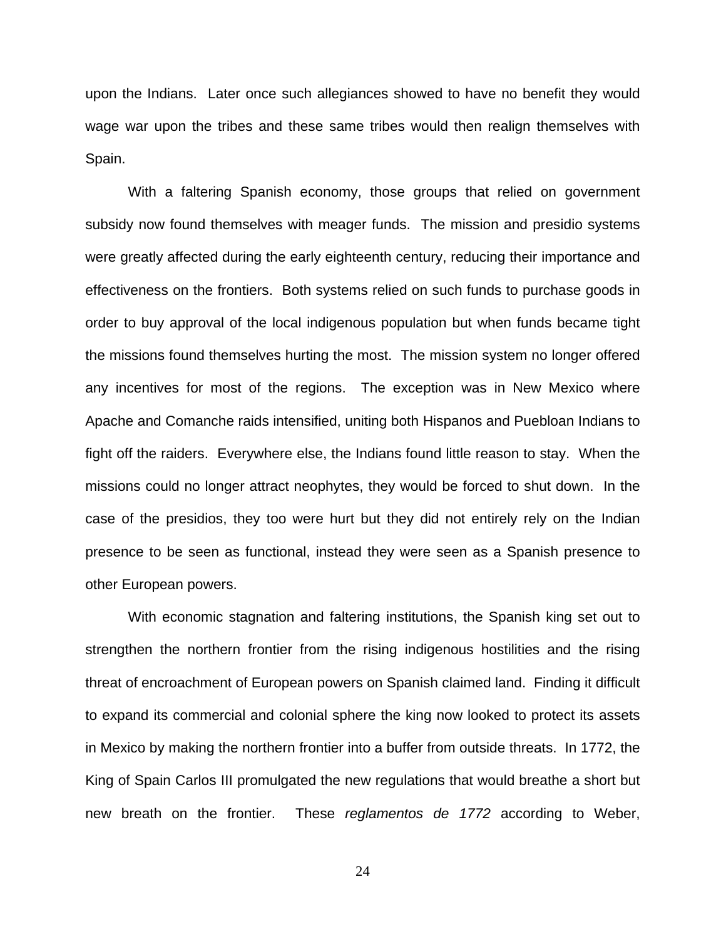upon the Indians. Later once such allegiances showed to have no benefit they would wage war upon the tribes and these same tribes would then realign themselves with Spain.

With a faltering Spanish economy, those groups that relied on government subsidy now found themselves with meager funds. The mission and presidio systems were greatly affected during the early eighteenth century, reducing their importance and effectiveness on the frontiers. Both systems relied on such funds to purchase goods in order to buy approval of the local indigenous population but when funds became tight the missions found themselves hurting the most. The mission system no longer offered any incentives for most of the regions. The exception was in New Mexico where Apache and Comanche raids intensified, uniting both Hispanos and Puebloan Indians to fight off the raiders. Everywhere else, the Indians found little reason to stay. When the missions could no longer attract neophytes, they would be forced to shut down. In the case of the presidios, they too were hurt but they did not entirely rely on the Indian presence to be seen as functional, instead they were seen as a Spanish presence to other European powers.

With economic stagnation and faltering institutions, the Spanish king set out to strengthen the northern frontier from the rising indigenous hostilities and the rising threat of encroachment of European powers on Spanish claimed land. Finding it difficult to expand its commercial and colonial sphere the king now looked to protect its assets in Mexico by making the northern frontier into a buffer from outside threats. In 1772, the King of Spain Carlos III promulgated the new regulations that would breathe a short but new breath on the frontier. These *reglamentos de 1772* according to Weber,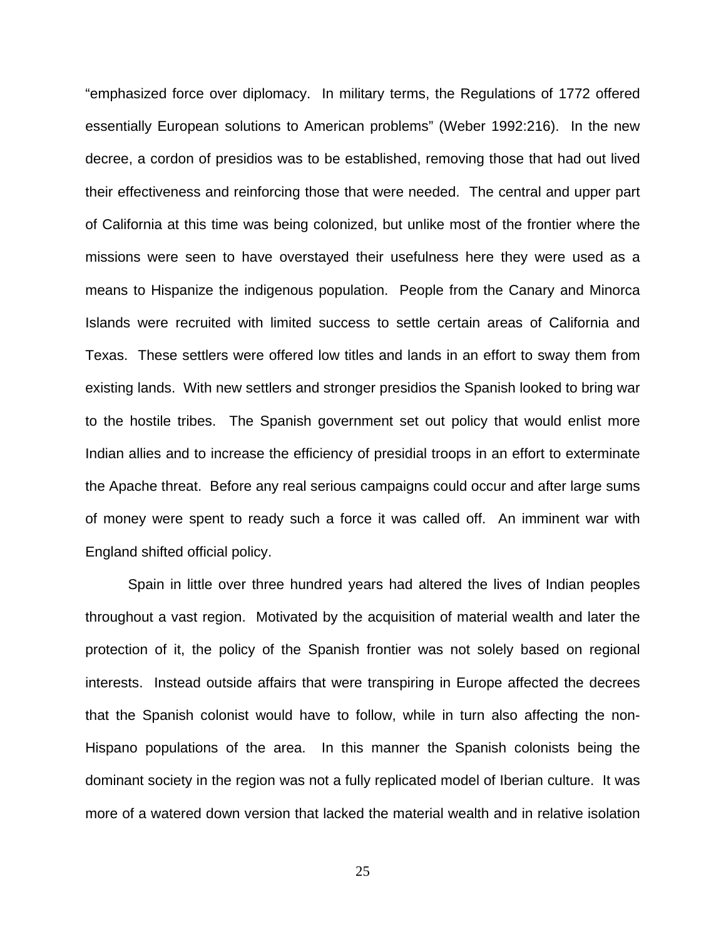"emphasized force over diplomacy. In military terms, the Regulations of 1772 offered essentially European solutions to American problems" (Weber 1992:216). In the new decree, a cordon of presidios was to be established, removing those that had out lived their effectiveness and reinforcing those that were needed. The central and upper part of California at this time was being colonized, but unlike most of the frontier where the missions were seen to have overstayed their usefulness here they were used as a means to Hispanize the indigenous population. People from the Canary and Minorca Islands were recruited with limited success to settle certain areas of California and Texas. These settlers were offered low titles and lands in an effort to sway them from existing lands. With new settlers and stronger presidios the Spanish looked to bring war to the hostile tribes. The Spanish government set out policy that would enlist more Indian allies and to increase the efficiency of presidial troops in an effort to exterminate the Apache threat. Before any real serious campaigns could occur and after large sums of money were spent to ready such a force it was called off. An imminent war with England shifted official policy.

Spain in little over three hundred years had altered the lives of Indian peoples throughout a vast region. Motivated by the acquisition of material wealth and later the protection of it, the policy of the Spanish frontier was not solely based on regional interests. Instead outside affairs that were transpiring in Europe affected the decrees that the Spanish colonist would have to follow, while in turn also affecting the non-Hispano populations of the area. In this manner the Spanish colonists being the dominant society in the region was not a fully replicated model of Iberian culture. It was more of a watered down version that lacked the material wealth and in relative isolation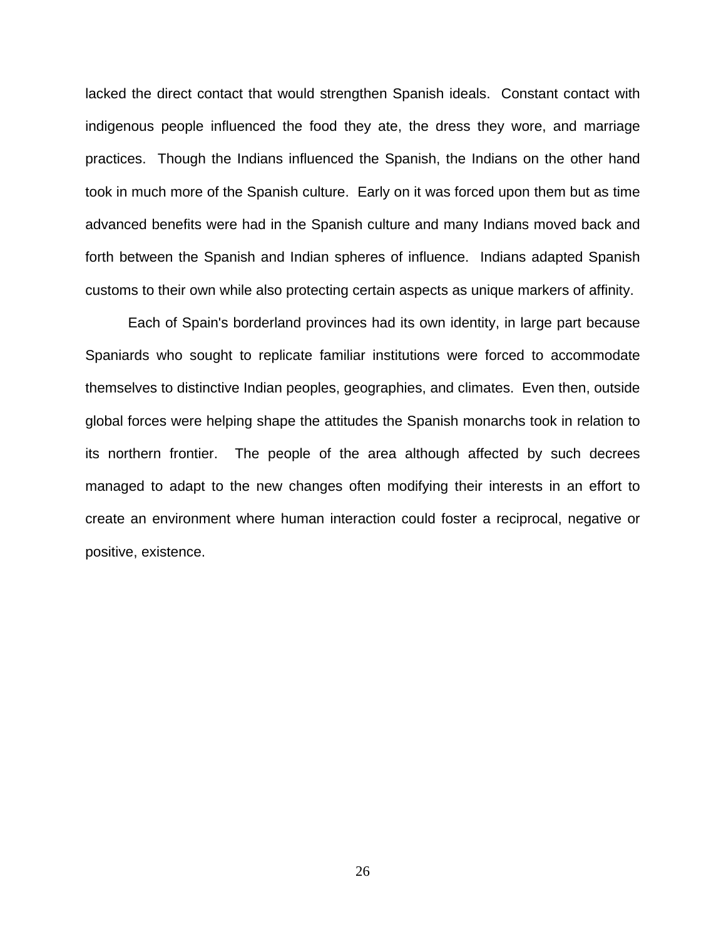lacked the direct contact that would strengthen Spanish ideals. Constant contact with indigenous people influenced the food they ate, the dress they wore, and marriage practices. Though the Indians influenced the Spanish, the Indians on the other hand took in much more of the Spanish culture. Early on it was forced upon them but as time advanced benefits were had in the Spanish culture and many Indians moved back and forth between the Spanish and Indian spheres of influence. Indians adapted Spanish customs to their own while also protecting certain aspects as unique markers of affinity.

Each of Spain's borderland provinces had its own identity, in large part because Spaniards who sought to replicate familiar institutions were forced to accommodate themselves to distinctive Indian peoples, geographies, and climates. Even then, outside global forces were helping shape the attitudes the Spanish monarchs took in relation to its northern frontier. The people of the area although affected by such decrees managed to adapt to the new changes often modifying their interests in an effort to create an environment where human interaction could foster a reciprocal, negative or positive, existence.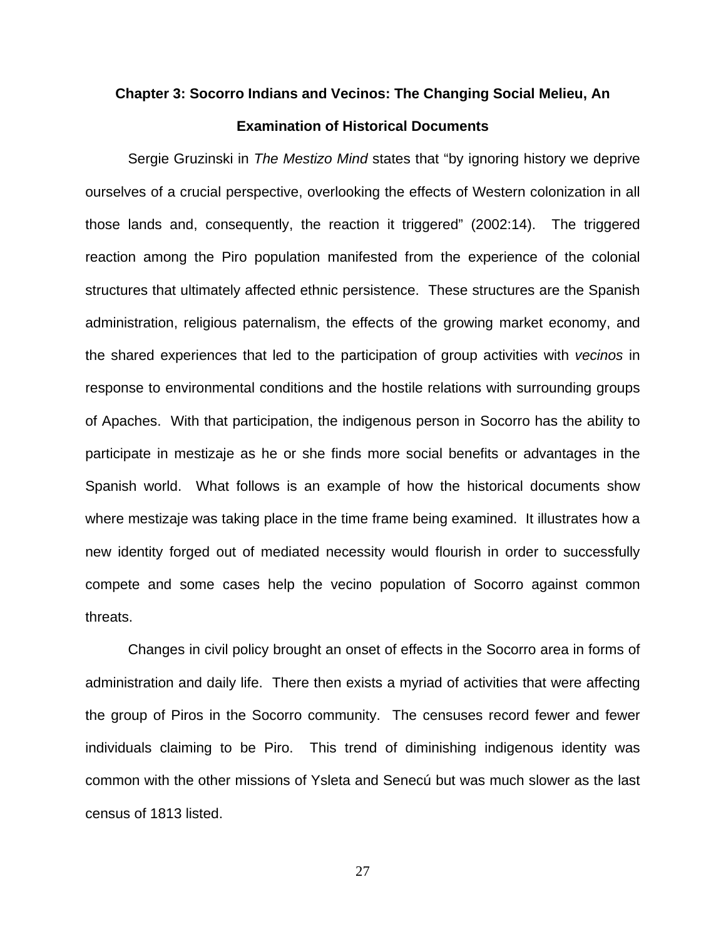## **Chapter 3: Socorro Indians and Vecinos: The Changing Social Melieu, An Examination of Historical Documents**

Sergie Gruzinski in *The Mestizo Mind* states that "by ignoring history we deprive ourselves of a crucial perspective, overlooking the effects of Western colonization in all those lands and, consequently, the reaction it triggered" (2002:14). The triggered reaction among the Piro population manifested from the experience of the colonial structures that ultimately affected ethnic persistence. These structures are the Spanish administration, religious paternalism, the effects of the growing market economy, and the shared experiences that led to the participation of group activities with *vecinos* in response to environmental conditions and the hostile relations with surrounding groups of Apaches. With that participation, the indigenous person in Socorro has the ability to participate in mestizaje as he or she finds more social benefits or advantages in the Spanish world. What follows is an example of how the historical documents show where mestizaje was taking place in the time frame being examined. It illustrates how a new identity forged out of mediated necessity would flourish in order to successfully compete and some cases help the vecino population of Socorro against common threats.

Changes in civil policy brought an onset of effects in the Socorro area in forms of administration and daily life. There then exists a myriad of activities that were affecting the group of Piros in the Socorro community. The censuses record fewer and fewer individuals claiming to be Piro. This trend of diminishing indigenous identity was common with the other missions of Ysleta and Senecú but was much slower as the last census of 1813 listed.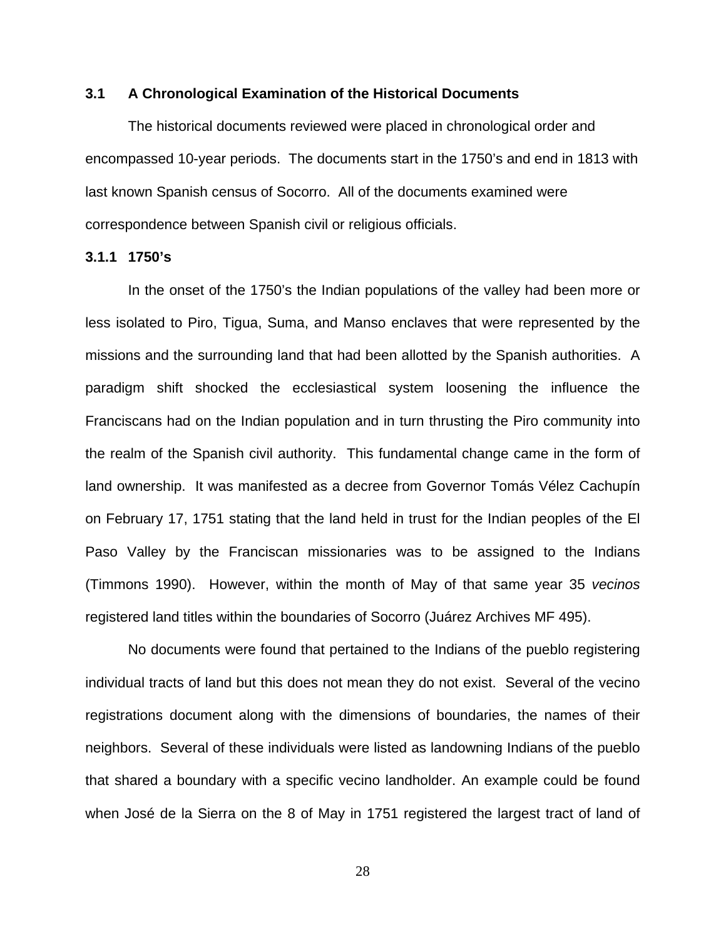#### **3.1 A Chronological Examination of the Historical Documents**

The historical documents reviewed were placed in chronological order and encompassed 10-year periods. The documents start in the 1750's and end in 1813 with last known Spanish census of Socorro. All of the documents examined were correspondence between Spanish civil or religious officials.

#### **3.1.1 1750's**

In the onset of the 1750's the Indian populations of the valley had been more or less isolated to Piro, Tigua, Suma, and Manso enclaves that were represented by the missions and the surrounding land that had been allotted by the Spanish authorities. A paradigm shift shocked the ecclesiastical system loosening the influence the Franciscans had on the Indian population and in turn thrusting the Piro community into the realm of the Spanish civil authority. This fundamental change came in the form of land ownership. It was manifested as a decree from Governor Tomás Vélez Cachupín on February 17, 1751 stating that the land held in trust for the Indian peoples of the El Paso Valley by the Franciscan missionaries was to be assigned to the Indians (Timmons 1990). However, within the month of May of that same year 35 *vecinos* registered land titles within the boundaries of Socorro (Juárez Archives MF 495).

No documents were found that pertained to the Indians of the pueblo registering individual tracts of land but this does not mean they do not exist. Several of the vecino registrations document along with the dimensions of boundaries, the names of their neighbors. Several of these individuals were listed as landowning Indians of the pueblo that shared a boundary with a specific vecino landholder. An example could be found when José de la Sierra on the 8 of May in 1751 registered the largest tract of land of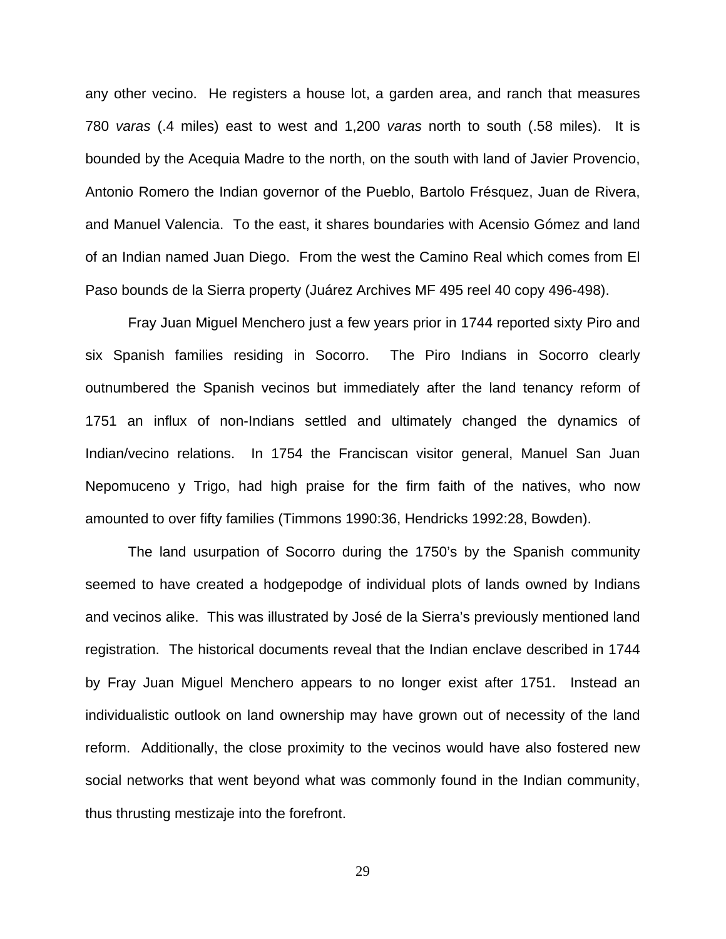any other vecino. He registers a house lot, a garden area, and ranch that measures 780 *varas* (.4 miles) east to west and 1,200 *varas* north to south (.58 miles). It is bounded by the Acequia Madre to the north, on the south with land of Javier Provencio, Antonio Romero the Indian governor of the Pueblo, Bartolo Frésquez, Juan de Rivera, and Manuel Valencia. To the east, it shares boundaries with Acensio Gómez and land of an Indian named Juan Diego. From the west the Camino Real which comes from El Paso bounds de la Sierra property (Juárez Archives MF 495 reel 40 copy 496-498).

Fray Juan Miguel Menchero just a few years prior in 1744 reported sixty Piro and six Spanish families residing in Socorro. The Piro Indians in Socorro clearly outnumbered the Spanish vecinos but immediately after the land tenancy reform of 1751 an influx of non-Indians settled and ultimately changed the dynamics of Indian/vecino relations. In 1754 the Franciscan visitor general, Manuel San Juan Nepomuceno y Trigo, had high praise for the firm faith of the natives, who now amounted to over fifty families (Timmons 1990:36, Hendricks 1992:28, Bowden).

The land usurpation of Socorro during the 1750's by the Spanish community seemed to have created a hodgepodge of individual plots of lands owned by Indians and vecinos alike. This was illustrated by José de la Sierra's previously mentioned land registration. The historical documents reveal that the Indian enclave described in 1744 by Fray Juan Miguel Menchero appears to no longer exist after 1751. Instead an individualistic outlook on land ownership may have grown out of necessity of the land reform. Additionally, the close proximity to the vecinos would have also fostered new social networks that went beyond what was commonly found in the Indian community, thus thrusting mestizaje into the forefront.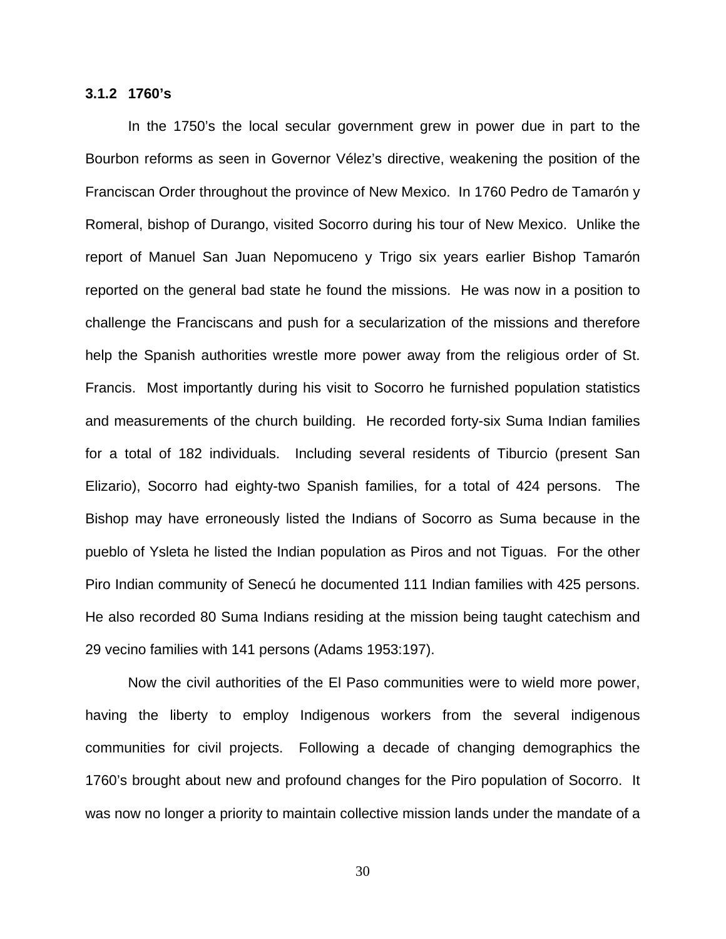#### **3.1.2 1760's**

In the 1750's the local secular government grew in power due in part to the Bourbon reforms as seen in Governor Vélez's directive, weakening the position of the Franciscan Order throughout the province of New Mexico. In 1760 Pedro de Tamarón y Romeral, bishop of Durango, visited Socorro during his tour of New Mexico. Unlike the report of Manuel San Juan Nepomuceno y Trigo six years earlier Bishop Tamarón reported on the general bad state he found the missions. He was now in a position to challenge the Franciscans and push for a secularization of the missions and therefore help the Spanish authorities wrestle more power away from the religious order of St. Francis. Most importantly during his visit to Socorro he furnished population statistics and measurements of the church building. He recorded forty-six Suma Indian families for a total of 182 individuals. Including several residents of Tiburcio (present San Elizario), Socorro had eighty-two Spanish families, for a total of 424 persons. The Bishop may have erroneously listed the Indians of Socorro as Suma because in the pueblo of Ysleta he listed the Indian population as Piros and not Tiguas. For the other Piro Indian community of Senecú he documented 111 Indian families with 425 persons. He also recorded 80 Suma Indians residing at the mission being taught catechism and 29 vecino families with 141 persons (Adams 1953:197).

Now the civil authorities of the El Paso communities were to wield more power, having the liberty to employ Indigenous workers from the several indigenous communities for civil projects. Following a decade of changing demographics the 1760's brought about new and profound changes for the Piro population of Socorro. It was now no longer a priority to maintain collective mission lands under the mandate of a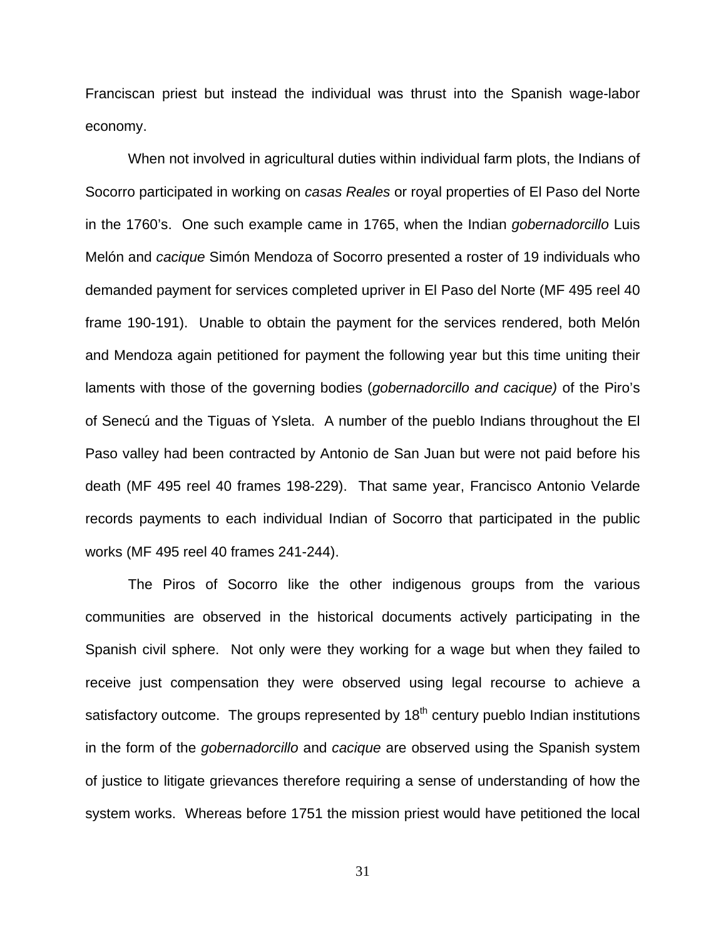Franciscan priest but instead the individual was thrust into the Spanish wage-labor economy.

When not involved in agricultural duties within individual farm plots, the Indians of Socorro participated in working on *casas Reales* or royal properties of El Paso del Norte in the 1760's. One such example came in 1765, when the Indian *gobernadorcillo* Luis Melón and *cacique* Simón Mendoza of Socorro presented a roster of 19 individuals who demanded payment for services completed upriver in El Paso del Norte (MF 495 reel 40 frame 190-191). Unable to obtain the payment for the services rendered, both Melón and Mendoza again petitioned for payment the following year but this time uniting their laments with those of the governing bodies (*gobernadorcillo and cacique)* of the Piro's of Senecú and the Tiguas of Ysleta. A number of the pueblo Indians throughout the El Paso valley had been contracted by Antonio de San Juan but were not paid before his death (MF 495 reel 40 frames 198-229). That same year, Francisco Antonio Velarde records payments to each individual Indian of Socorro that participated in the public works (MF 495 reel 40 frames 241-244).

The Piros of Socorro like the other indigenous groups from the various communities are observed in the historical documents actively participating in the Spanish civil sphere. Not only were they working for a wage but when they failed to receive just compensation they were observed using legal recourse to achieve a satisfactory outcome. The groups represented by  $18<sup>th</sup>$  century pueblo Indian institutions in the form of the *gobernadorcillo* and *cacique* are observed using the Spanish system of justice to litigate grievances therefore requiring a sense of understanding of how the system works. Whereas before 1751 the mission priest would have petitioned the local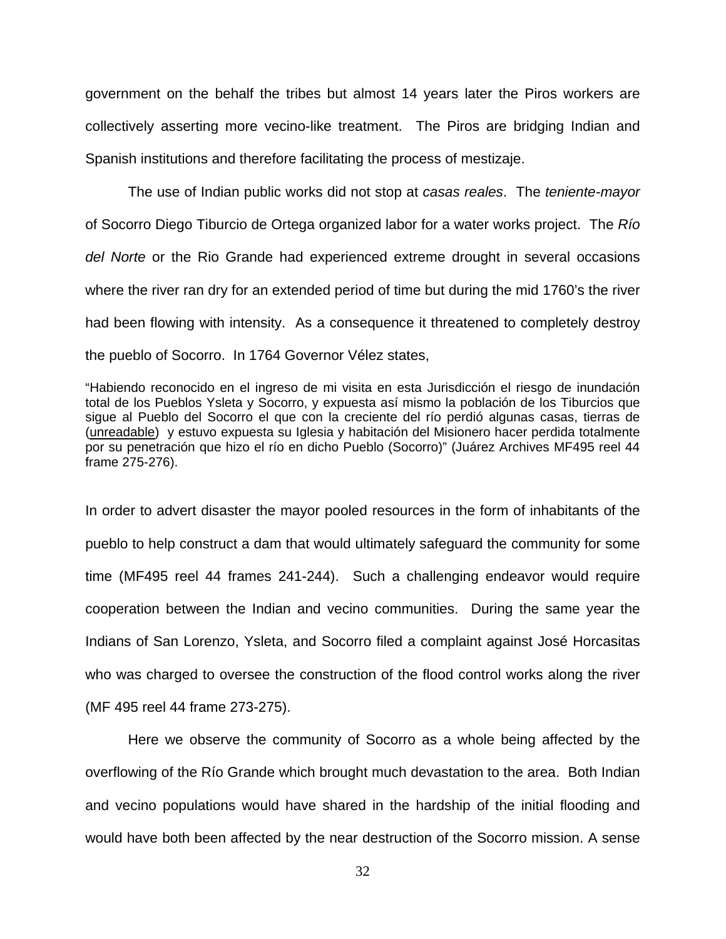government on the behalf the tribes but almost 14 years later the Piros workers are collectively asserting more vecino-like treatment. The Piros are bridging Indian and Spanish institutions and therefore facilitating the process of mestizaje.

The use of Indian public works did not stop at *casas reales*. The *teniente-mayor* of Socorro Diego Tiburcio de Ortega organized labor for a water works project. The *Río del Norte* or the Rio Grande had experienced extreme drought in several occasions where the river ran dry for an extended period of time but during the mid 1760's the river had been flowing with intensity. As a consequence it threatened to completely destroy the pueblo of Socorro. In 1764 Governor Vélez states,

"Habiendo reconocido en el ingreso de mi visita en esta Jurisdicción el riesgo de inundación total de los Pueblos Ysleta y Socorro, y expuesta así mismo la población de los Tiburcios que sigue al Pueblo del Socorro el que con la creciente del río perdió algunas casas, tierras de (unreadable) y estuvo expuesta su Iglesia y habitación del Misionero hacer perdida totalmente por su penetración que hizo el río en dicho Pueblo (Socorro)" (Juárez Archives MF495 reel 44 frame 275-276).

In order to advert disaster the mayor pooled resources in the form of inhabitants of the pueblo to help construct a dam that would ultimately safeguard the community for some time (MF495 reel 44 frames 241-244). Such a challenging endeavor would require cooperation between the Indian and vecino communities. During the same year the Indians of San Lorenzo, Ysleta, and Socorro filed a complaint against José Horcasitas who was charged to oversee the construction of the flood control works along the river (MF 495 reel 44 frame 273-275).

Here we observe the community of Socorro as a whole being affected by the overflowing of the Río Grande which brought much devastation to the area. Both Indian and vecino populations would have shared in the hardship of the initial flooding and would have both been affected by the near destruction of the Socorro mission. A sense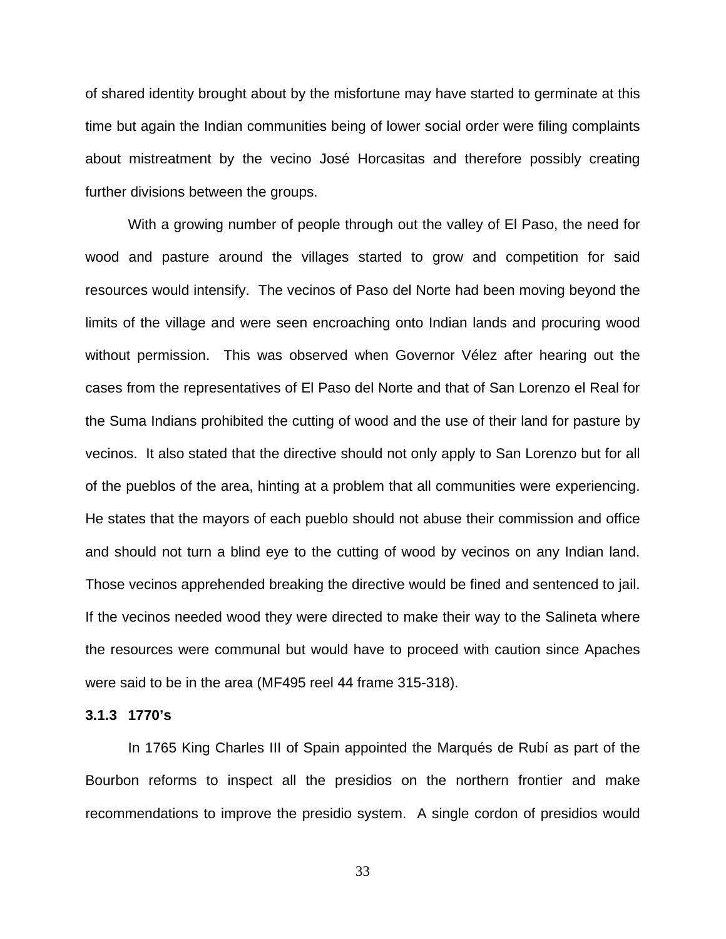of shared identity brought about by the misfortune may have started to germinate at this time but again the Indian communities being of lower social order were filing complaints about mistreatment by the vecino José Horcasitas and therefore possibly creating further divisions between the groups.

With a growing number of people through out the valley of El Paso, the need for wood and pasture around the villages started to grow and competition for said resources would intensify. The vecinos of Paso del Norte had been moving beyond the limits of the village and were seen encroaching onto Indian lands and procuring wood without permission. This was observed when Governor Vélez after hearing out the cases from the representatives of El Paso del Norte and that of San Lorenzo el Real for the Suma Indians prohibited the cutting of wood and the use of their land for pasture by vecinos. It also stated that the directive should not only apply to San Lorenzo but for all of the pueblos of the area, hinting at a problem that all communities were experiencing. He states that the mayors of each pueblo should not abuse their commission and office and should not turn a blind eye to the cutting of wood by vecinos on any Indian land. Those vecinos apprehended breaking the directive would be fined and sentenced to jail. If the vecinos needed wood they were directed to make their way to the Salineta where the resources were communal but would have to proceed with caution since Apaches were said to be in the area (MF495 reel 44 frame 315-318).

#### **3.1.3 1770's**

In 1765 King Charles III of Spain appointed the Marqués de Rubí as part of the Bourbon reforms to inspect all the presidios on the northern frontier and make recommendations to improve the presidio system. A single cordon of presidios would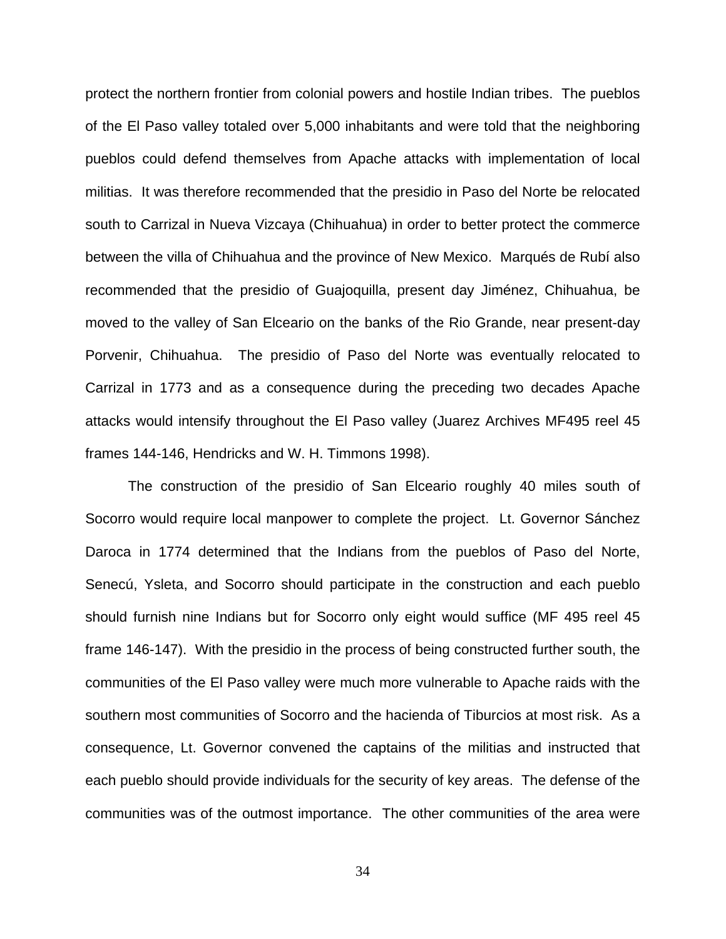protect the northern frontier from colonial powers and hostile Indian tribes. The pueblos of the El Paso valley totaled over 5,000 inhabitants and were told that the neighboring pueblos could defend themselves from Apache attacks with implementation of local militias. It was therefore recommended that the presidio in Paso del Norte be relocated south to Carrizal in Nueva Vizcaya (Chihuahua) in order to better protect the commerce between the villa of Chihuahua and the province of New Mexico. Marqués de Rubí also recommended that the presidio of Guajoquilla, present day Jiménez, Chihuahua, be moved to the valley of San Elceario on the banks of the Rio Grande, near present-day Porvenir, Chihuahua. The presidio of Paso del Norte was eventually relocated to Carrizal in 1773 and as a consequence during the preceding two decades Apache attacks would intensify throughout the El Paso valley (Juarez Archives MF495 reel 45 frames 144-146, Hendricks and W. H. Timmons 1998).

The construction of the presidio of San Elceario roughly 40 miles south of Socorro would require local manpower to complete the project. Lt. Governor Sánchez Daroca in 1774 determined that the Indians from the pueblos of Paso del Norte, Senecú, Ysleta, and Socorro should participate in the construction and each pueblo should furnish nine Indians but for Socorro only eight would suffice (MF 495 reel 45 frame 146-147). With the presidio in the process of being constructed further south, the communities of the El Paso valley were much more vulnerable to Apache raids with the southern most communities of Socorro and the hacienda of Tiburcios at most risk. As a consequence, Lt. Governor convened the captains of the militias and instructed that each pueblo should provide individuals for the security of key areas. The defense of the communities was of the outmost importance. The other communities of the area were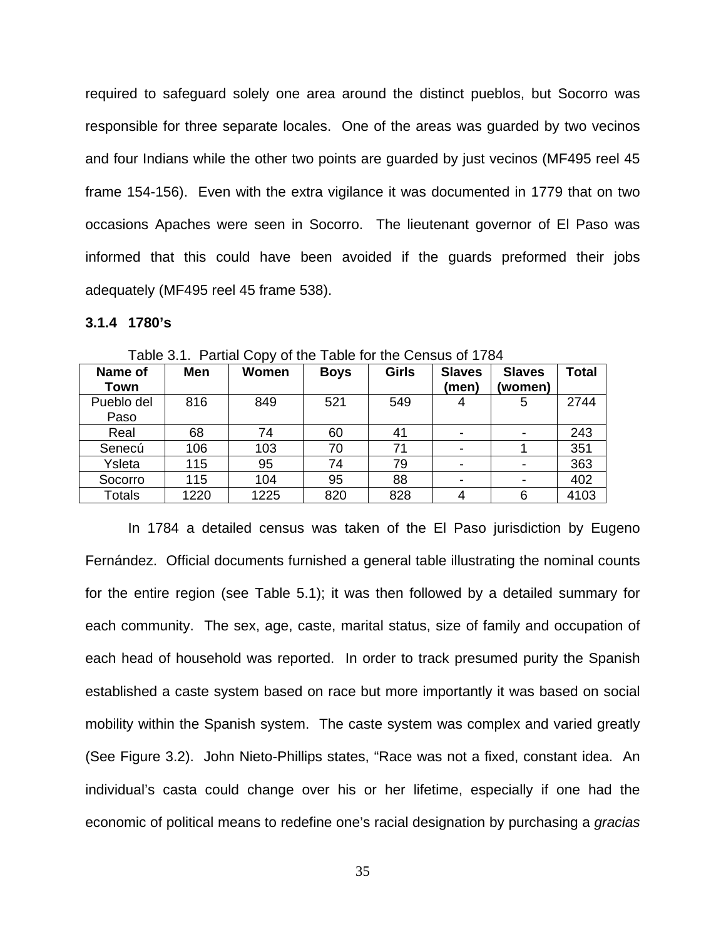required to safeguard solely one area around the distinct pueblos, but Socorro was responsible for three separate locales. One of the areas was guarded by two vecinos and four Indians while the other two points are guarded by just vecinos (MF495 reel 45 frame 154-156). Even with the extra vigilance it was documented in 1779 that on two occasions Apaches were seen in Socorro. The lieutenant governor of El Paso was informed that this could have been avoided if the guards preformed their jobs adequately (MF495 reel 45 frame 538).

#### **3.1.4 1780's**

| Name of<br>Town    | <b>Men</b> | Women | <b>Boys</b> | <b>Girls</b> | <b>Slaves</b><br>(men) | <b>Slaves</b><br>(women) | <b>Total</b> |
|--------------------|------------|-------|-------------|--------------|------------------------|--------------------------|--------------|
| Pueblo del<br>Paso | 816        | 849   | 521         | 549          | 4                      | 5                        | 2744         |
| Real               | 68         | 74    | 60          | 41           |                        |                          | 243          |
| Senecú             | 106        | 103   | 70          | 71           |                        |                          | 351          |
| Ysleta             | 115        | 95    | 74          | 79           |                        |                          | 363          |
| Socorro            | 115        | 104   | 95          | 88           |                        |                          | 402          |
| Totals             | 1220       | 1225  | 820         | 828          | 4                      | 6                        | 4103         |

Table 3.1. Partial Copy of the Table for the Census of 1784

In 1784 a detailed census was taken of the El Paso jurisdiction by Eugeno Fernández. Official documents furnished a general table illustrating the nominal counts for the entire region (see Table 5.1); it was then followed by a detailed summary for each community. The sex, age, caste, marital status, size of family and occupation of each head of household was reported. In order to track presumed purity the Spanish established a caste system based on race but more importantly it was based on social mobility within the Spanish system. The caste system was complex and varied greatly (See Figure 3.2). John Nieto-Phillips states, "Race was not a fixed, constant idea. An individual's casta could change over his or her lifetime, especially if one had the economic of political means to redefine one's racial designation by purchasing a *gracias*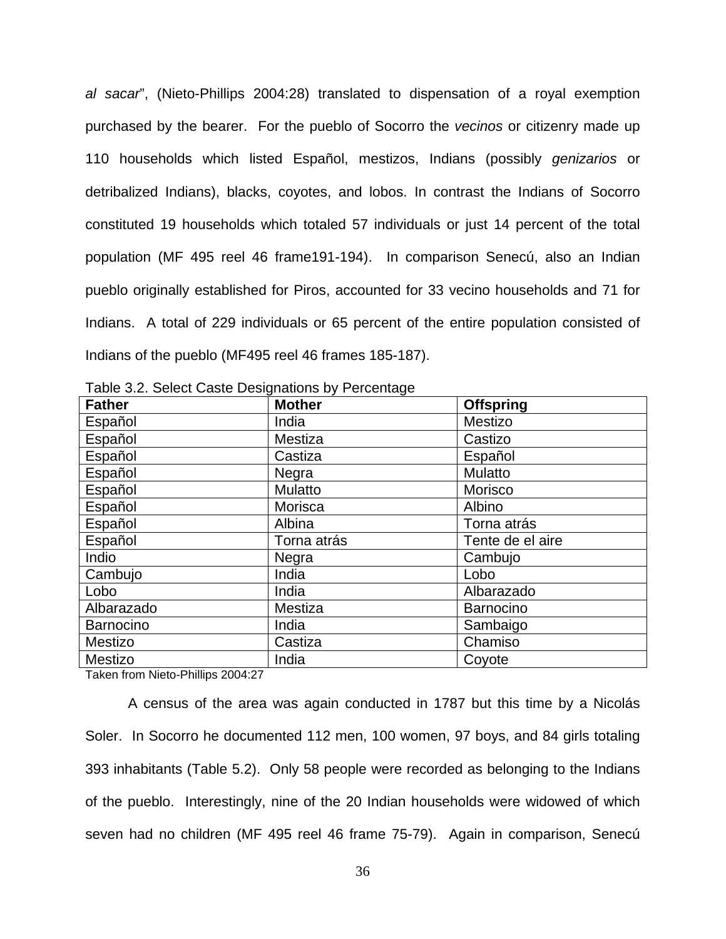*al sacar*", (Nieto-Phillips 2004:28) translated to dispensation of a royal exemption purchased by the bearer. For the pueblo of Socorro the *vecinos* or citizenry made up 110 households which listed Español, mestizos, Indians (possibly *genizarios* or detribalized Indians), blacks, coyotes, and lobos. In contrast the Indians of Socorro constituted 19 households which totaled 57 individuals or just 14 percent of the total population (MF 495 reel 46 frame191-194). In comparison Senecú, also an Indian pueblo originally established for Piros, accounted for 33 vecino households and 71 for Indians. A total of 229 individuals or 65 percent of the entire population consisted of Indians of the pueblo (MF495 reel 46 frames 185-187).

| <b>Father</b> | <b>Mother</b>  | <b>Offspring</b> |
|---------------|----------------|------------------|
| Español       | India          | Mestizo          |
| Español       | Mestiza        | Castizo          |
| Español       | Castiza        | Español          |
| Español       | Negra          | Mulatto          |
| Español       | <b>Mulatto</b> | Morisco          |
| Español       | Morisca        | Albino           |
| Español       | Albina         | Torna atrás      |
| Español       | Torna atrás    | Tente de el aire |
| Indio         | Negra          | Cambujo          |
| Cambujo       | India          | Lobo             |
| Lobo          | India          | Albarazado       |
| Albarazado    | Mestiza        | Barnocino        |
| Barnocino     | India          | Sambaigo         |
| Mestizo       | Castiza        | Chamiso          |
| Mestizo       | India          | Coyote           |

Table 3.2. Select Caste Designations by Percentage

Taken from Nieto-Phillips 2004:27

A census of the area was again conducted in 1787 but this time by a Nicolás Soler. In Socorro he documented 112 men, 100 women, 97 boys, and 84 girls totaling 393 inhabitants (Table 5.2). Only 58 people were recorded as belonging to the Indians of the pueblo. Interestingly, nine of the 20 Indian households were widowed of which seven had no children (MF 495 reel 46 frame 75-79). Again in comparison, Senecú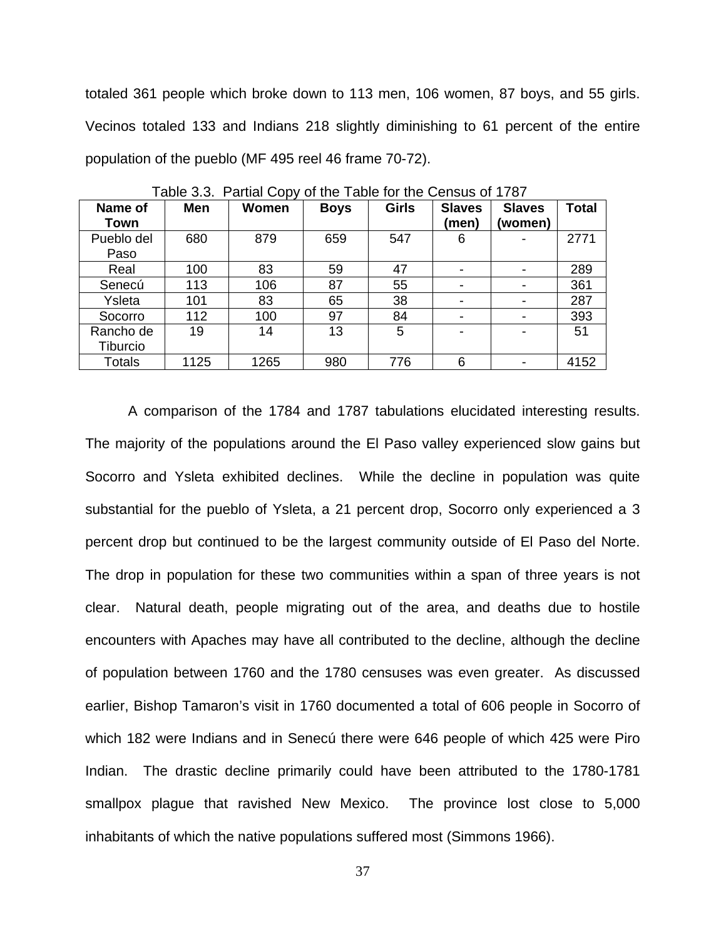totaled 361 people which broke down to 113 men, 106 women, 87 boys, and 55 girls. Vecinos totaled 133 and Indians 218 slightly diminishing to 61 percent of the entire population of the pueblo (MF 495 reel 46 frame 70-72).

| Name of<br>Town       | Men  | Women | <b>Boys</b> | <b>Girls</b> | <b>Slaves</b><br>(men)   | <b>Slaves</b><br>(women) | Total |
|-----------------------|------|-------|-------------|--------------|--------------------------|--------------------------|-------|
| Pueblo del<br>Paso    | 680  | 879   | 659         | 547          | 6                        |                          | 2771  |
| Real                  | 100  | 83    | 59          | 47           | $\overline{\phantom{a}}$ |                          | 289   |
| Senecú                | 113  | 106   | 87          | 55           | $\overline{\phantom{a}}$ |                          | 361   |
| Ysleta                | 101  | 83    | 65          | 38           | $\overline{\phantom{a}}$ |                          | 287   |
| Socorro               | 112  | 100   | 97          | 84           | $\blacksquare$           |                          | 393   |
| Rancho de<br>Tiburcio | 19   | 14    | 13          | 5            | $\blacksquare$           | -                        | 51    |
| Totals                | 1125 | 1265  | 980         | 776          | 6                        |                          | 4152  |

Table 3.3. Partial Copy of the Table for the Census of 1787

A comparison of the 1784 and 1787 tabulations elucidated interesting results. The majority of the populations around the El Paso valley experienced slow gains but Socorro and Ysleta exhibited declines. While the decline in population was quite substantial for the pueblo of Ysleta, a 21 percent drop, Socorro only experienced a 3 percent drop but continued to be the largest community outside of El Paso del Norte. The drop in population for these two communities within a span of three years is not clear. Natural death, people migrating out of the area, and deaths due to hostile encounters with Apaches may have all contributed to the decline, although the decline of population between 1760 and the 1780 censuses was even greater. As discussed earlier, Bishop Tamaron's visit in 1760 documented a total of 606 people in Socorro of which 182 were Indians and in Senecú there were 646 people of which 425 were Piro Indian. The drastic decline primarily could have been attributed to the 1780-1781 smallpox plague that ravished New Mexico. The province lost close to 5,000 inhabitants of which the native populations suffered most (Simmons 1966).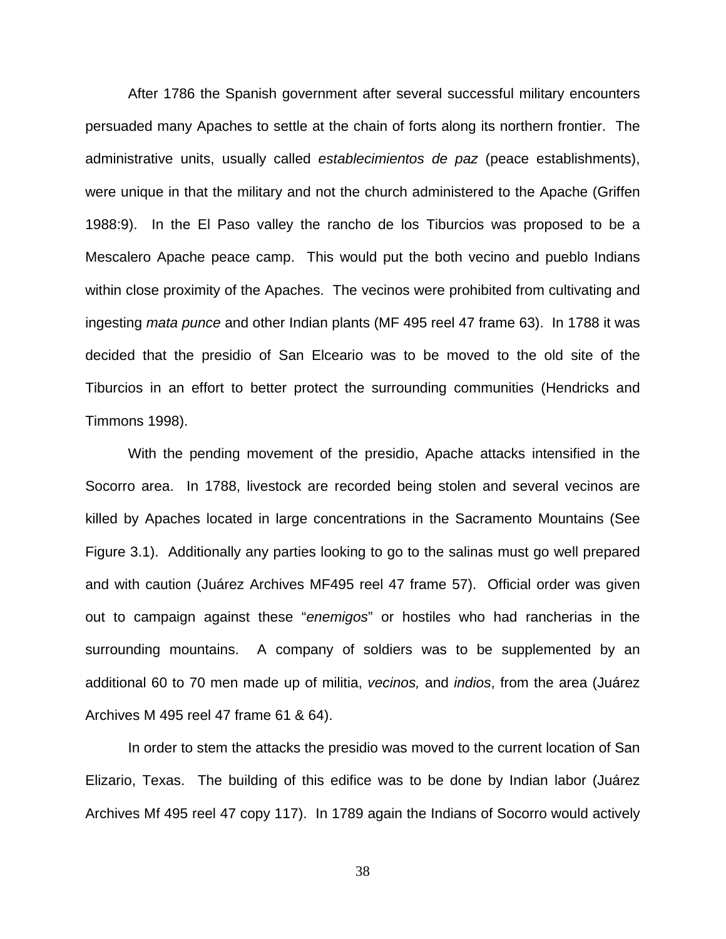After 1786 the Spanish government after several successful military encounters persuaded many Apaches to settle at the chain of forts along its northern frontier. The administrative units, usually called *establecimientos de paz* (peace establishments), were unique in that the military and not the church administered to the Apache (Griffen 1988:9). In the El Paso valley the rancho de los Tiburcios was proposed to be a Mescalero Apache peace camp. This would put the both vecino and pueblo Indians within close proximity of the Apaches. The vecinos were prohibited from cultivating and ingesting *mata punce* and other Indian plants (MF 495 reel 47 frame 63). In 1788 it was decided that the presidio of San Elceario was to be moved to the old site of the Tiburcios in an effort to better protect the surrounding communities (Hendricks and Timmons 1998).

With the pending movement of the presidio, Apache attacks intensified in the Socorro area. In 1788, livestock are recorded being stolen and several vecinos are killed by Apaches located in large concentrations in the Sacramento Mountains (See Figure 3.1). Additionally any parties looking to go to the salinas must go well prepared and with caution (Juárez Archives MF495 reel 47 frame 57). Official order was given out to campaign against these "*enemigos*" or hostiles who had rancherias in the surrounding mountains. A company of soldiers was to be supplemented by an additional 60 to 70 men made up of militia, *vecinos,* and *indios*, from the area (Juárez Archives M 495 reel 47 frame 61 & 64).

In order to stem the attacks the presidio was moved to the current location of San Elizario, Texas. The building of this edifice was to be done by Indian labor (Juárez Archives Mf 495 reel 47 copy 117). In 1789 again the Indians of Socorro would actively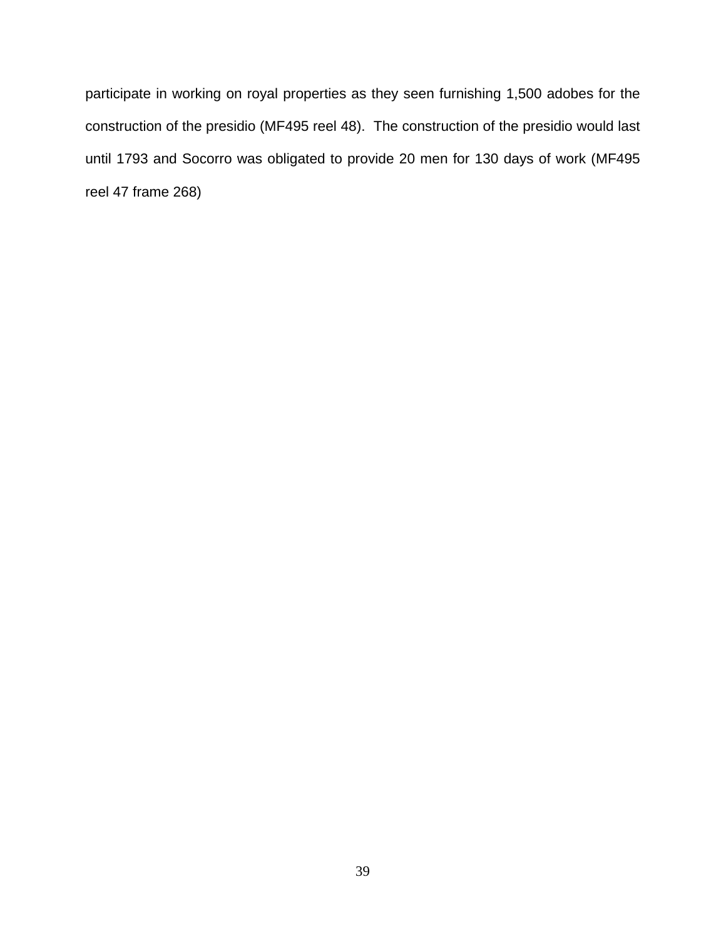participate in working on royal properties as they seen furnishing 1,500 adobes for the construction of the presidio (MF495 reel 48). The construction of the presidio would last until 1793 and Socorro was obligated to provide 20 men for 130 days of work (MF495 reel 47 frame 268)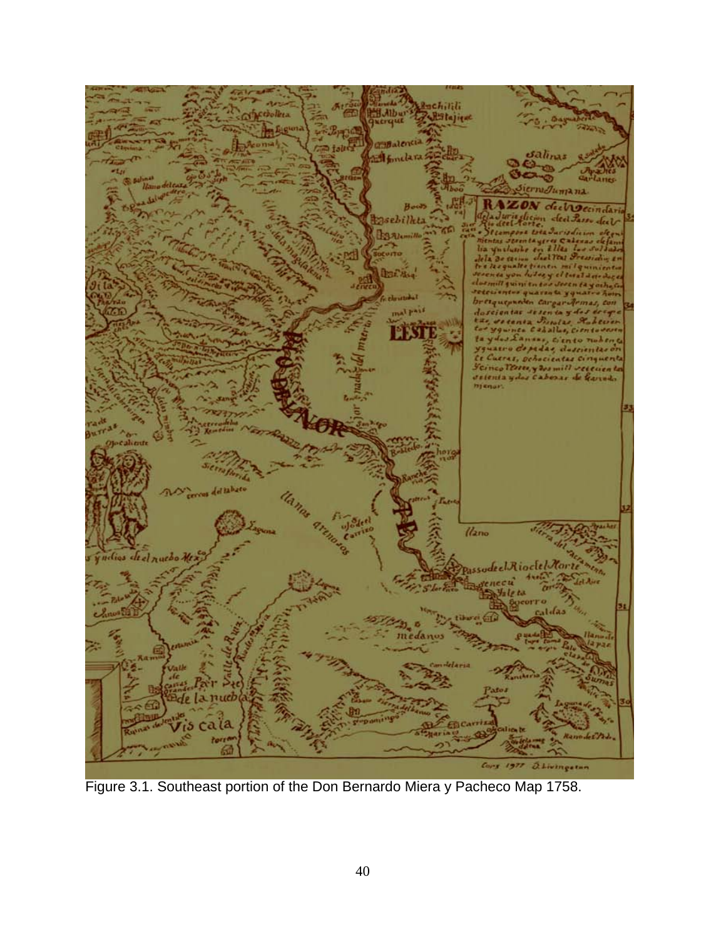

Figure 3.1. Southeast portion of the Don Bernardo Miera y Pacheco Map 1758.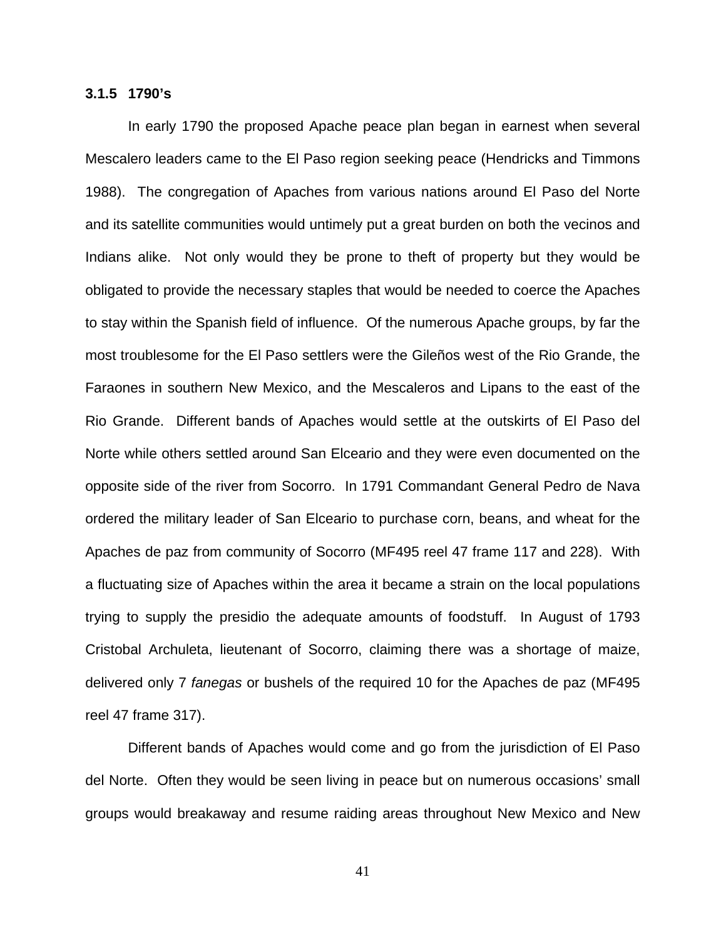#### **3.1.5 1790's**

In early 1790 the proposed Apache peace plan began in earnest when several Mescalero leaders came to the El Paso region seeking peace (Hendricks and Timmons 1988). The congregation of Apaches from various nations around El Paso del Norte and its satellite communities would untimely put a great burden on both the vecinos and Indians alike. Not only would they be prone to theft of property but they would be obligated to provide the necessary staples that would be needed to coerce the Apaches to stay within the Spanish field of influence. Of the numerous Apache groups, by far the most troublesome for the El Paso settlers were the Gileños west of the Rio Grande, the Faraones in southern New Mexico, and the Mescaleros and Lipans to the east of the Rio Grande. Different bands of Apaches would settle at the outskirts of El Paso del Norte while others settled around San Elceario and they were even documented on the opposite side of the river from Socorro. In 1791 Commandant General Pedro de Nava ordered the military leader of San Elceario to purchase corn, beans, and wheat for the Apaches de paz from community of Socorro (MF495 reel 47 frame 117 and 228). With a fluctuating size of Apaches within the area it became a strain on the local populations trying to supply the presidio the adequate amounts of foodstuff. In August of 1793 Cristobal Archuleta, lieutenant of Socorro, claiming there was a shortage of maize, delivered only 7 *fanegas* or bushels of the required 10 for the Apaches de paz (MF495 reel 47 frame 317).

Different bands of Apaches would come and go from the jurisdiction of El Paso del Norte. Often they would be seen living in peace but on numerous occasions' small groups would breakaway and resume raiding areas throughout New Mexico and New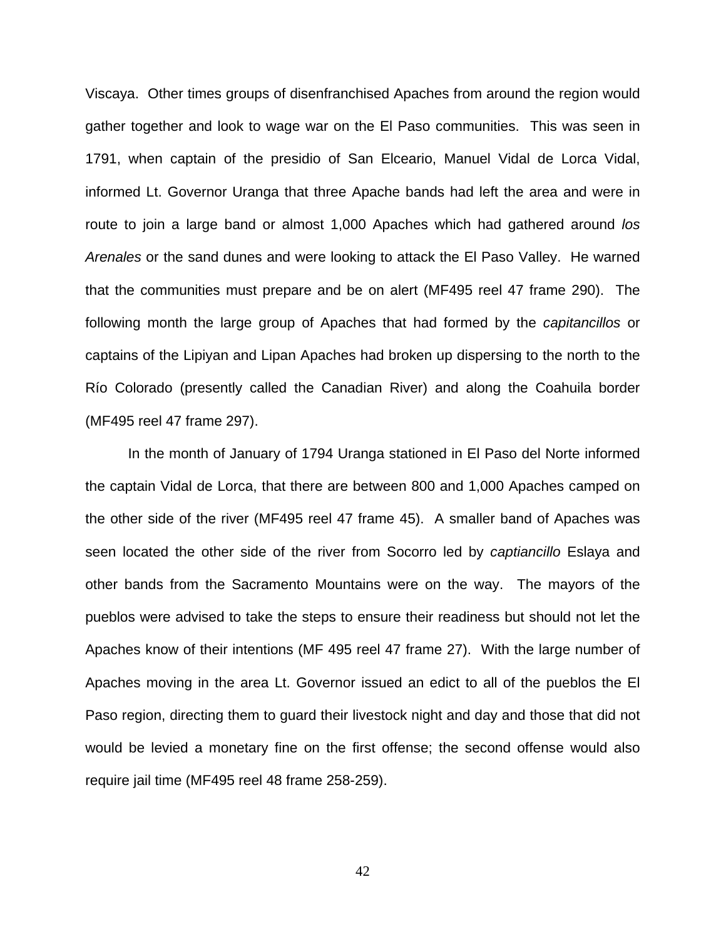Viscaya. Other times groups of disenfranchised Apaches from around the region would gather together and look to wage war on the El Paso communities. This was seen in 1791, when captain of the presidio of San Elceario, Manuel Vidal de Lorca Vidal, informed Lt. Governor Uranga that three Apache bands had left the area and were in route to join a large band or almost 1,000 Apaches which had gathered around *los Arenales* or the sand dunes and were looking to attack the El Paso Valley. He warned that the communities must prepare and be on alert (MF495 reel 47 frame 290). The following month the large group of Apaches that had formed by the *capitancillos* or captains of the Lipiyan and Lipan Apaches had broken up dispersing to the north to the Río Colorado (presently called the Canadian River) and along the Coahuila border (MF495 reel 47 frame 297).

In the month of January of 1794 Uranga stationed in El Paso del Norte informed the captain Vidal de Lorca, that there are between 800 and 1,000 Apaches camped on the other side of the river (MF495 reel 47 frame 45). A smaller band of Apaches was seen located the other side of the river from Socorro led by *captiancillo* Eslaya and other bands from the Sacramento Mountains were on the way. The mayors of the pueblos were advised to take the steps to ensure their readiness but should not let the Apaches know of their intentions (MF 495 reel 47 frame 27). With the large number of Apaches moving in the area Lt. Governor issued an edict to all of the pueblos the El Paso region, directing them to guard their livestock night and day and those that did not would be levied a monetary fine on the first offense; the second offense would also require jail time (MF495 reel 48 frame 258-259).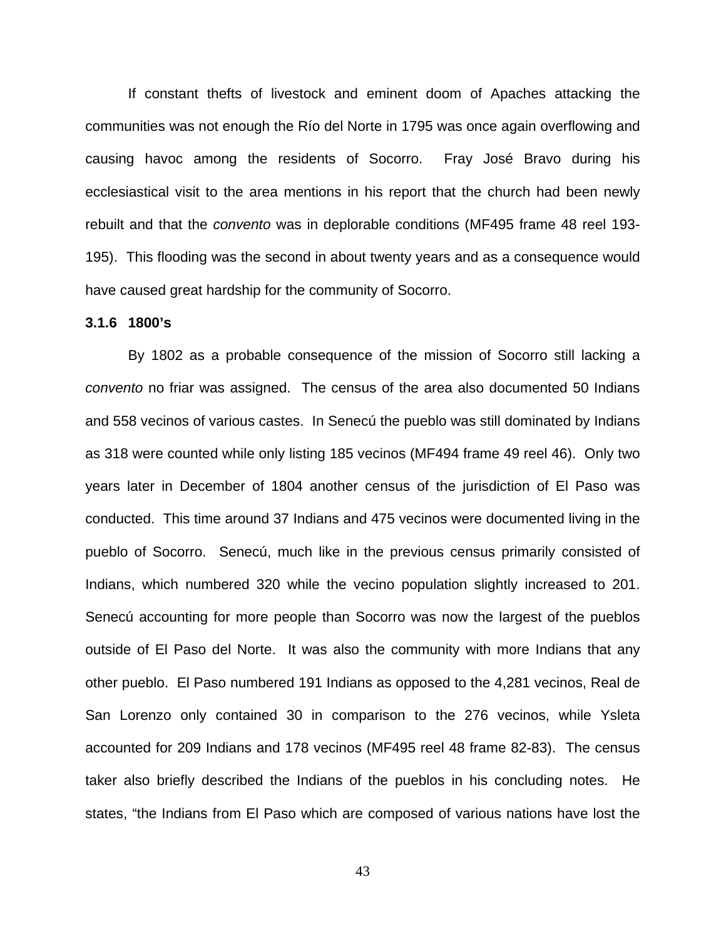If constant thefts of livestock and eminent doom of Apaches attacking the communities was not enough the Río del Norte in 1795 was once again overflowing and causing havoc among the residents of Socorro. Fray José Bravo during his ecclesiastical visit to the area mentions in his report that the church had been newly rebuilt and that the *convento* was in deplorable conditions (MF495 frame 48 reel 193- 195). This flooding was the second in about twenty years and as a consequence would have caused great hardship for the community of Socorro.

#### **3.1.6 1800's**

By 1802 as a probable consequence of the mission of Socorro still lacking a *convento* no friar was assigned. The census of the area also documented 50 Indians and 558 vecinos of various castes. In Senecú the pueblo was still dominated by Indians as 318 were counted while only listing 185 vecinos (MF494 frame 49 reel 46). Only two years later in December of 1804 another census of the jurisdiction of El Paso was conducted. This time around 37 Indians and 475 vecinos were documented living in the pueblo of Socorro. Senecú, much like in the previous census primarily consisted of Indians, which numbered 320 while the vecino population slightly increased to 201. Senecú accounting for more people than Socorro was now the largest of the pueblos outside of El Paso del Norte. It was also the community with more Indians that any other pueblo. El Paso numbered 191 Indians as opposed to the 4,281 vecinos, Real de San Lorenzo only contained 30 in comparison to the 276 vecinos, while Ysleta accounted for 209 Indians and 178 vecinos (MF495 reel 48 frame 82-83). The census taker also briefly described the Indians of the pueblos in his concluding notes. He states, "the Indians from El Paso which are composed of various nations have lost the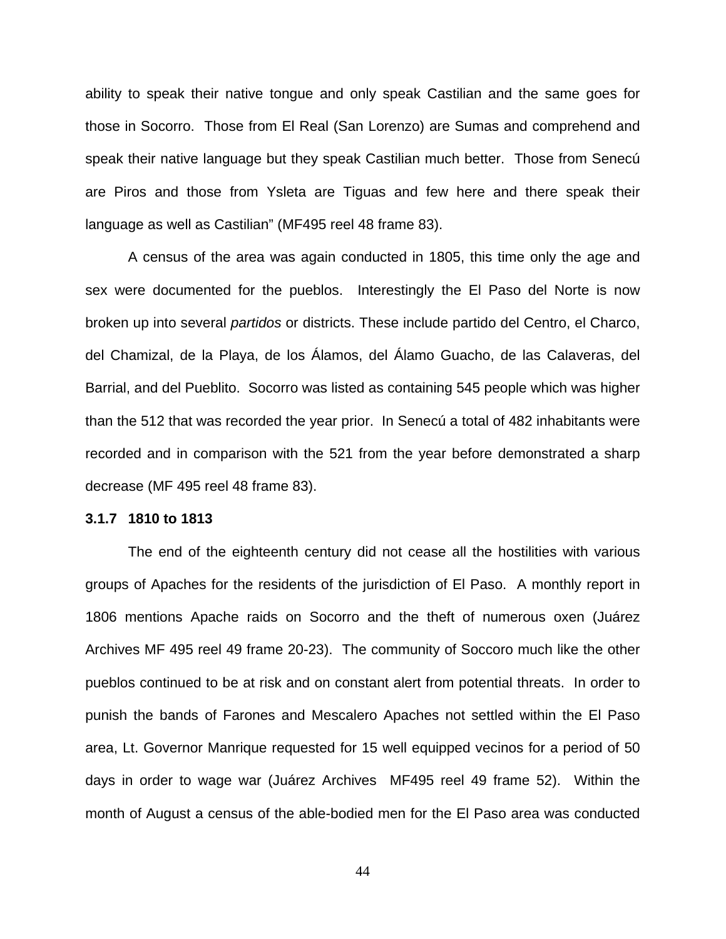ability to speak their native tongue and only speak Castilian and the same goes for those in Socorro. Those from El Real (San Lorenzo) are Sumas and comprehend and speak their native language but they speak Castilian much better. Those from Senecú are Piros and those from Ysleta are Tiguas and few here and there speak their language as well as Castilian" (MF495 reel 48 frame 83).

A census of the area was again conducted in 1805, this time only the age and sex were documented for the pueblos. Interestingly the El Paso del Norte is now broken up into several *partidos* or districts. These include partido del Centro, el Charco, del Chamizal, de la Playa, de los Álamos, del Álamo Guacho, de las Calaveras, del Barrial, and del Pueblito. Socorro was listed as containing 545 people which was higher than the 512 that was recorded the year prior. In Senecú a total of 482 inhabitants were recorded and in comparison with the 521 from the year before demonstrated a sharp decrease (MF 495 reel 48 frame 83).

#### **3.1.7 1810 to 1813**

The end of the eighteenth century did not cease all the hostilities with various groups of Apaches for the residents of the jurisdiction of El Paso. A monthly report in 1806 mentions Apache raids on Socorro and the theft of numerous oxen (Juárez Archives MF 495 reel 49 frame 20-23). The community of Soccoro much like the other pueblos continued to be at risk and on constant alert from potential threats. In order to punish the bands of Farones and Mescalero Apaches not settled within the El Paso area, Lt. Governor Manrique requested for 15 well equipped vecinos for a period of 50 days in order to wage war (Juárez Archives MF495 reel 49 frame 52). Within the month of August a census of the able-bodied men for the El Paso area was conducted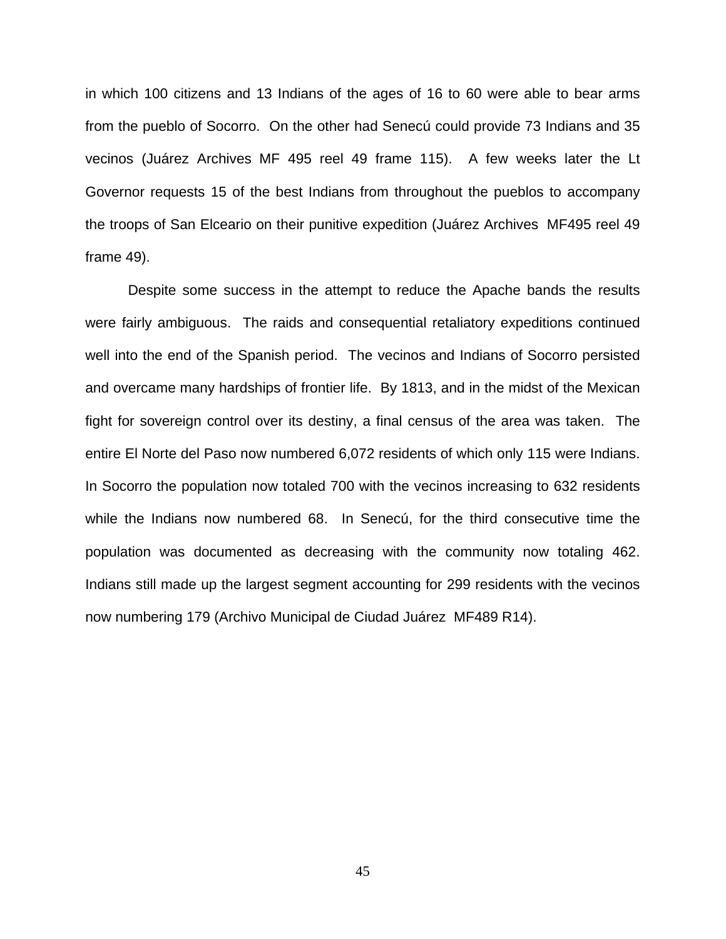in which 100 citizens and 13 Indians of the ages of 16 to 60 were able to bear arms from the pueblo of Socorro. On the other had Senecú could provide 73 Indians and 35 vecinos (Juárez Archives MF 495 reel 49 frame 115). A few weeks later the Lt Governor requests 15 of the best Indians from throughout the pueblos to accompany the troops of San Elceario on their punitive expedition (Juárez Archives MF495 reel 49 frame 49).

Despite some success in the attempt to reduce the Apache bands the results were fairly ambiguous. The raids and consequential retaliatory expeditions continued well into the end of the Spanish period. The vecinos and Indians of Socorro persisted and overcame many hardships of frontier life. By 1813, and in the midst of the Mexican fight for sovereign control over its destiny, a final census of the area was taken. The entire El Norte del Paso now numbered 6,072 residents of which only 115 were Indians. In Socorro the population now totaled 700 with the vecinos increasing to 632 residents while the Indians now numbered 68. In Senecú, for the third consecutive time the population was documented as decreasing with the community now totaling 462. Indians still made up the largest segment accounting for 299 residents with the vecinos now numbering 179 (Archivo Municipal de Ciudad Juárez MF489 R14).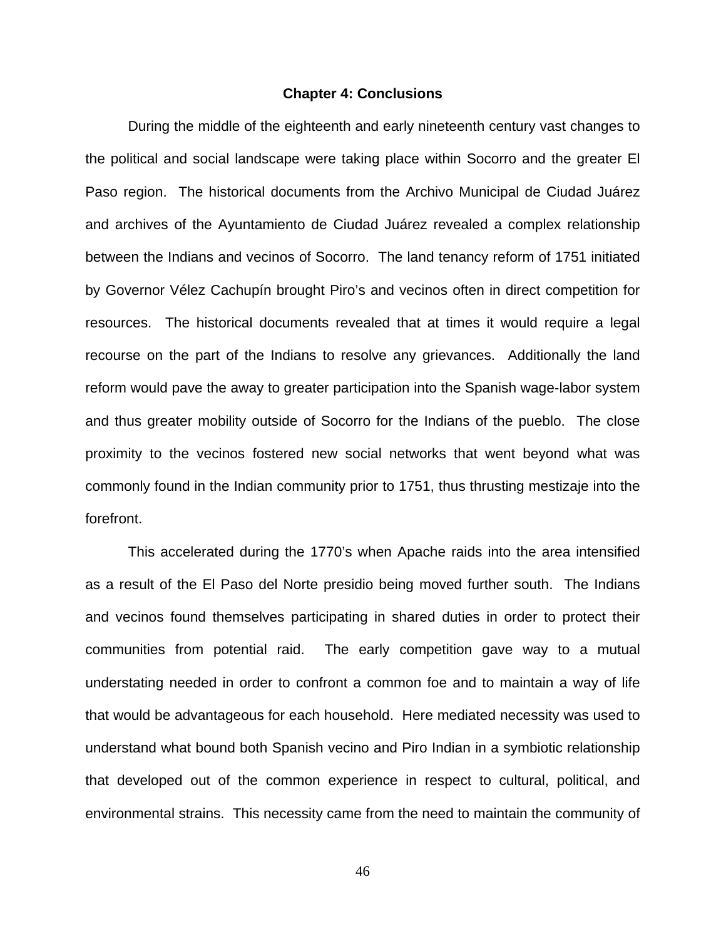#### **Chapter 4: Conclusions**

During the middle of the eighteenth and early nineteenth century vast changes to the political and social landscape were taking place within Socorro and the greater El Paso region. The historical documents from the Archivo Municipal de Ciudad Juárez and archives of the Ayuntamiento de Ciudad Juárez revealed a complex relationship between the Indians and vecinos of Socorro. The land tenancy reform of 1751 initiated by Governor Vélez Cachupín brought Piro's and vecinos often in direct competition for resources. The historical documents revealed that at times it would require a legal recourse on the part of the Indians to resolve any grievances. Additionally the land reform would pave the away to greater participation into the Spanish wage-labor system and thus greater mobility outside of Socorro for the Indians of the pueblo. The close proximity to the vecinos fostered new social networks that went beyond what was commonly found in the Indian community prior to 1751, thus thrusting mestizaje into the forefront.

This accelerated during the 1770's when Apache raids into the area intensified as a result of the El Paso del Norte presidio being moved further south. The Indians and vecinos found themselves participating in shared duties in order to protect their communities from potential raid. The early competition gave way to a mutual understating needed in order to confront a common foe and to maintain a way of life that would be advantageous for each household. Here mediated necessity was used to understand what bound both Spanish vecino and Piro Indian in a symbiotic relationship that developed out of the common experience in respect to cultural, political, and environmental strains. This necessity came from the need to maintain the community of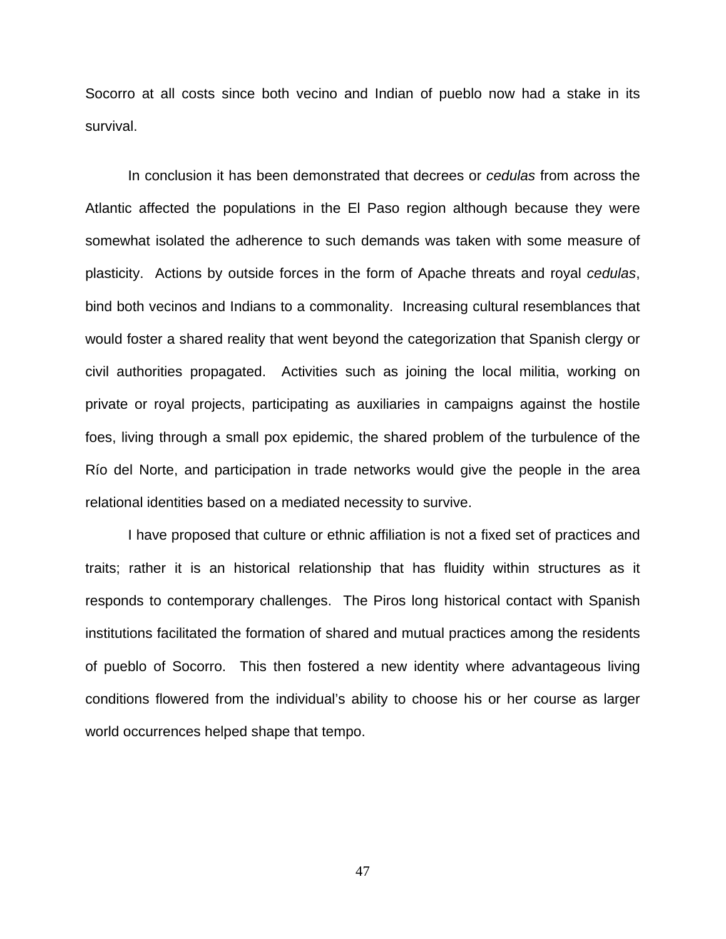Socorro at all costs since both vecino and Indian of pueblo now had a stake in its survival.

In conclusion it has been demonstrated that decrees or *cedulas* from across the Atlantic affected the populations in the El Paso region although because they were somewhat isolated the adherence to such demands was taken with some measure of plasticity. Actions by outside forces in the form of Apache threats and royal *cedulas*, bind both vecinos and Indians to a commonality. Increasing cultural resemblances that would foster a shared reality that went beyond the categorization that Spanish clergy or civil authorities propagated. Activities such as joining the local militia, working on private or royal projects, participating as auxiliaries in campaigns against the hostile foes, living through a small pox epidemic, the shared problem of the turbulence of the Río del Norte, and participation in trade networks would give the people in the area relational identities based on a mediated necessity to survive.

I have proposed that culture or ethnic affiliation is not a fixed set of practices and traits; rather it is an historical relationship that has fluidity within structures as it responds to contemporary challenges. The Piros long historical contact with Spanish institutions facilitated the formation of shared and mutual practices among the residents of pueblo of Socorro. This then fostered a new identity where advantageous living conditions flowered from the individual's ability to choose his or her course as larger world occurrences helped shape that tempo.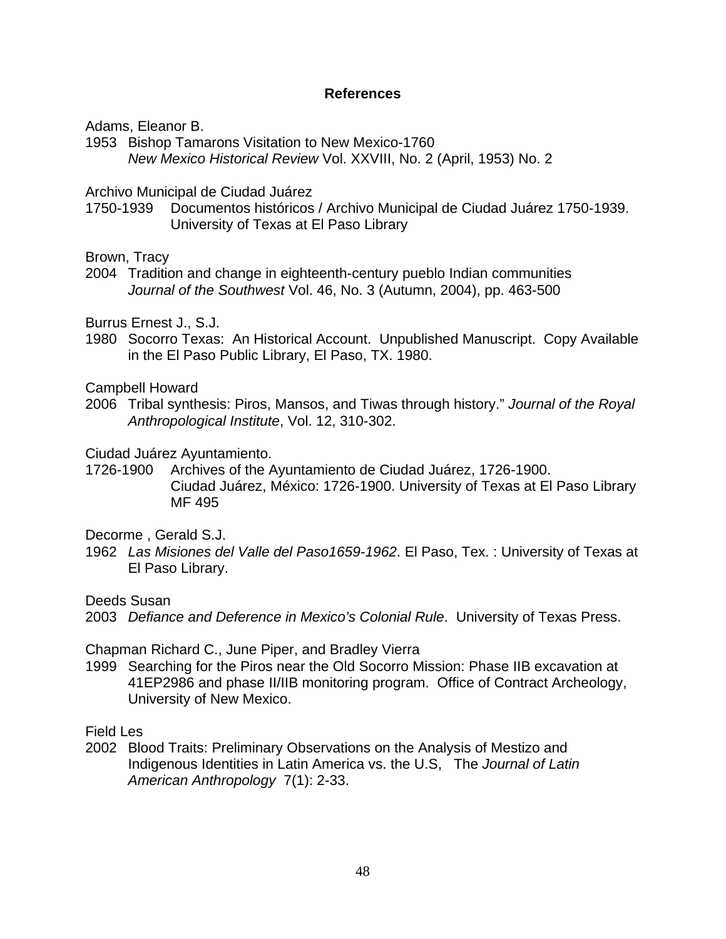#### **References**

Adams, Eleanor B.

1953 Bishop Tamarons Visitation to New Mexico-1760 *New Mexico Historical Review* Vol. XXVIII, No. 2 (April, 1953) No. 2

Archivo Municipal de Ciudad Juárez

1750-1939 Documentos históricos / Archivo Municipal de Ciudad Juárez 1750-1939. University of Texas at El Paso Library

Brown, Tracy

2004 Tradition and change in eighteenth-century pueblo Indian communities *[Journal of the Southwest](http://www.jstor.org/action/showPublication?journalCode=jsouthwest)* Vol. 46, No. 3 (Autumn, 2004), pp. 463-500

Burrus Ernest J., S.J.

1980 Socorro Texas: An Historical Account. Unpublished Manuscript. Copy Available in the El Paso Public Library, El Paso, TX. 1980.

Campbell Howard

2006 Tribal synthesis: Piros, Mansos, and Tiwas through history." *Journal of the Royal Anthropological Institute*, Vol. 12, 310-302.

Ciudad Juárez Ayuntamiento.

1726-1900 Archives of the Ayuntamiento de Ciudad Juárez, 1726-1900. Ciudad Juárez, México: 1726-1900. University of Texas at El Paso Library MF 495

Decorme , Gerald S.J.

1962 *Las Misiones del Valle del Paso1659-1962*. El Paso, Tex. : University of Texas at El Paso Library.

Deeds Susan

2003 *Defiance and Deference in Mexico's Colonial Rule*. University of Texas Press.

Chapman Richard C., June Piper, and Bradley Vierra

1999 Searching for the Piros near the Old Socorro Mission: Phase IIB excavation at 41EP2986 and phase II/IIB monitoring program. Office of Contract Archeology, University of New Mexico.

Field Les

2002 Blood Traits: Preliminary Observations on the Analysis of Mestizo and Indigenous Identities in Latin America vs. the U.S, The *Journal of Latin American Anthropology* 7(1): 2-33.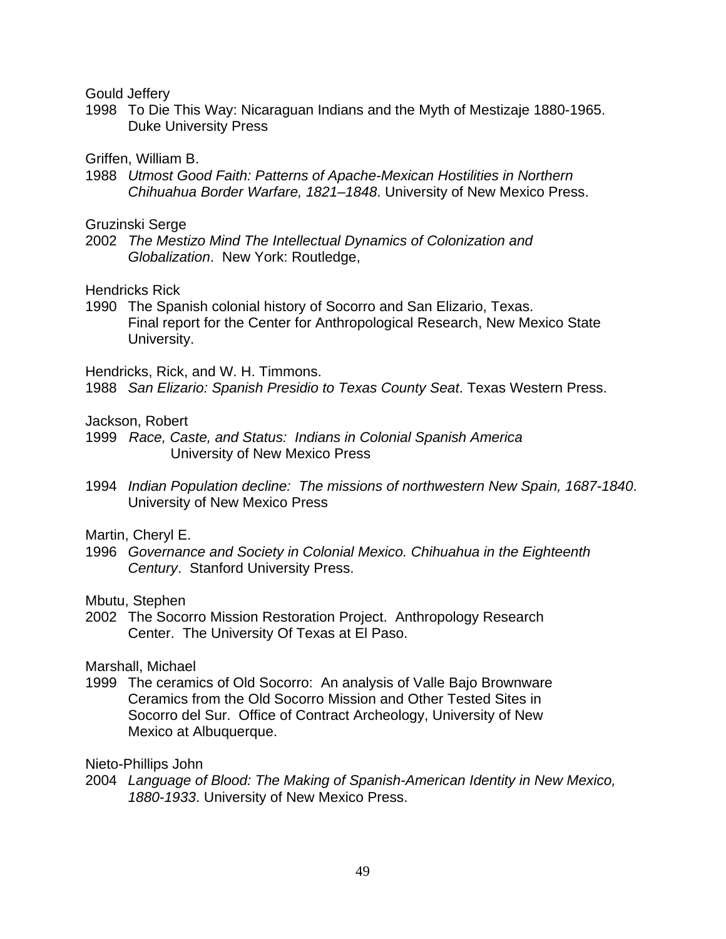Gould Jeffery

1998 To Die This Way: Nicaraguan Indians and the Myth of Mestizaje 1880-1965. Duke University Press

Griffen, William B.

1988 *Utmost Good Faith: Patterns of Apache-Mexican Hostilities in Northern Chihuahua Border Warfare, 1821–1848*. University of New Mexico Press.

Gruzinski Serge

2002 *The Mestizo Mind The Intellectual Dynamics of Colonization and Globalization*. New York: Routledge,

Hendricks Rick

1990 The Spanish colonial history of Socorro and San Elizario, Texas. Final report for the Center for Anthropological Research, New Mexico State University.

Hendricks, Rick, and W. H. Timmons.

1988 *San Elizario: Spanish Presidio to Texas County Seat*. Texas Western Press.

Jackson, Robert

- 1999 *Race, Caste, and Status: Indians in Colonial Spanish America* University of New Mexico Press
- 1994 *Indian Population decline: The missions of northwestern New Spain, 1687-1840*. University of New Mexico Press

Martin, Cheryl E.

1996 *Governance and Society in Colonial Mexico. Chihuahua in the Eighteenth Century*. Stanford University Press.

Mbutu, Stephen

2002 The Socorro Mission Restoration Project. Anthropology Research Center. The University Of Texas at El Paso.

Marshall, Michael

1999 The ceramics of Old Socorro: An analysis of Valle Bajo Brownware Ceramics from the Old Socorro Mission and Other Tested Sites in Socorro del Sur. Office of Contract Archeology, University of New Mexico at Albuquerque.

Nieto-Phillips John

2004 *Language of Blood: The Making of Spanish-American Identity in New Mexico, 1880-1933*. University of New Mexico Press.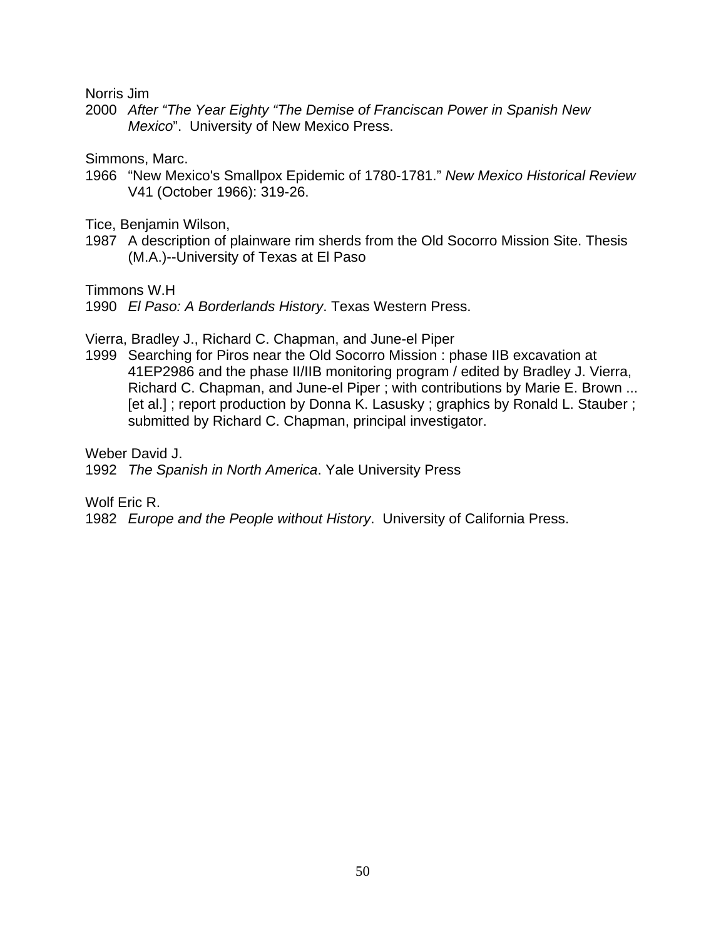Norris Jim

2000 *After "The Year Eighty "The Demise of Franciscan Power in Spanish New Mexico*". University of New Mexico Press.

Simmons, Marc.

1966 "New Mexico's Smallpox Epidemic of 1780-1781." *New Mexico Historical Review* V41 (October 1966): 319-26.

Tice, Benjamin Wilson,

1987 A description of plainware rim sherds from the Old Socorro Mission Site. Thesis (M.A.)--University of Texas at El Paso

Timmons W.H

1990 *El Paso: A Borderlands History*. Texas Western Press.

Vierra, Bradley J., Richard C. Chapman, and June-el Piper

1999 Searching for Piros near the Old Socorro Mission : phase IIB excavation at 41EP2986 and the phase II/IIB monitoring program / edited by Bradley J. Vierra, Richard C. Chapman, and June-el Piper ; with contributions by Marie E. Brown ... [et al.]; report production by Donna K. Lasusky; graphics by Ronald L. Stauber; submitted by Richard C. Chapman, principal investigator.

Weber David J.

1992 *The Spanish in North America*. Yale University Press

Wolf Eric R.

1982 *Europe and the People without History*. University of California Press.